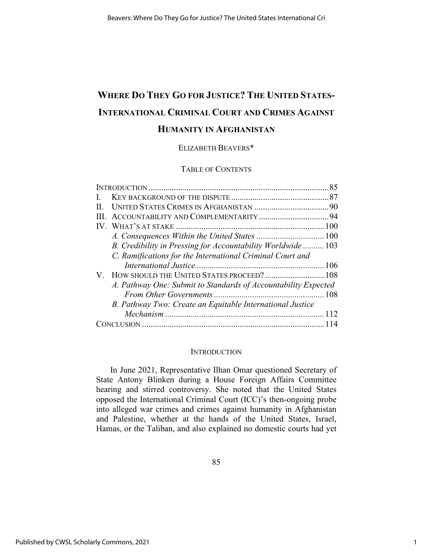# **WHERE DO THEY GO FOR JUSTICE? THE UNITED STATES-INTERNATIONAL CRIMINAL COURT AND CRIMES AGAINST HUMANITY IN AFGHANISTAN**

# ELIZABETH BEAVERS\*

# TABLE OF CONTENTS

| V. HOW SHOULD THE UNITED STATES PROCEED?  108 |                                                                                                                                                                                                                                                        |
|-----------------------------------------------|--------------------------------------------------------------------------------------------------------------------------------------------------------------------------------------------------------------------------------------------------------|
|                                               |                                                                                                                                                                                                                                                        |
|                                               |                                                                                                                                                                                                                                                        |
|                                               |                                                                                                                                                                                                                                                        |
|                                               |                                                                                                                                                                                                                                                        |
|                                               |                                                                                                                                                                                                                                                        |
|                                               | B. Credibility in Pressing for Accountability Worldwide103<br>C. Ramifications for the International Criminal Court and<br>A. Pathway One: Submit to Standards of Accountability Expected<br>B. Pathway Two: Create an Equitable International Justice |

#### **INTRODUCTION**

In June 2021, Representative Ilhan Omar questioned Secretary of State Antony Blinken during a House Foreign Affairs Committee hearing and stirred controversy. She noted that the United States opposed the International Criminal Court (ICC)'s then-ongoing probe into alleged war crimes and crimes against humanity in Afghanistan and Palestine, whether at the hands of the United States, Israel, Hamas, or the Taliban, and also explained no domestic courts had yet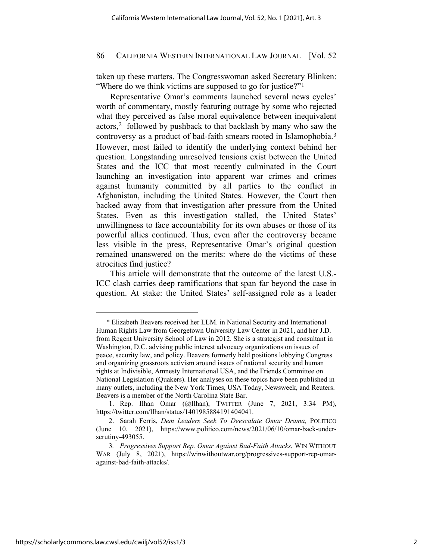taken up these matters. The Congresswoman asked Secretary Blinken: "Where do we think victims are supposed to go for justice?"<sup>[1](#page-1-0)</sup>

Representative Omar's comments launched several news cycles' worth of commentary, mostly featuring outrage by some who rejected what they perceived as false moral equivalence between inequivalent actors,<sup>[2](#page-1-1)</sup> followed by pushback to that backlash by many who saw the controversy as a product of bad-faith smears rooted in Islamophobia.[3](#page-1-2) However, most failed to identify the underlying context behind her question. Longstanding unresolved tensions exist between the United States and the ICC that most recently culminated in the Court launching an investigation into apparent war crimes and crimes against humanity committed by all parties to the conflict in Afghanistan, including the United States. However, the Court then backed away from that investigation after pressure from the United States. Even as this investigation stalled, the United States' unwillingness to face accountability for its own abuses or those of its powerful allies continued. Thus, even after the controversy became less visible in the press, Representative Omar's original question remained unanswered on the merits: where do the victims of these atrocities find justice?

This article will demonstrate that the outcome of the latest U.S.- ICC clash carries deep ramifications that span far beyond the case in question. At stake: the United States' self-assigned role as a leader

<span id="page-1-0"></span><sup>\*</sup> Elizabeth Beavers received her LLM. in National Security and International Human Rights Law from Georgetown University Law Center in 2021, and her J.D. from Regent University School of Law in 2012. She is a strategist and consultant in Washington, D.C. advising public interest advocacy organizations on issues of peace, security law, and policy. Beavers formerly held positions lobbying Congress and organizing grassroots activism around issues of national security and human rights at Indivisible, Amnesty International USA, and the Friends Committee on National Legislation (Quakers). Her analyses on these topics have been published in many outlets, including the New York Times, USA Today, Newsweek, and Reuters. Beavers is a member of the North Carolina State Bar.

<sup>1.</sup> Rep. Ilhan Omar (@Ilhan), TWITTER (June 7, 2021, 3:34 PM), [https://twitter.com/Ilhan/status/1401985884191404041.](https://twitter.com/Ilhan/status/1401985884191404041) 

<span id="page-1-1"></span><sup>2.</sup> Sarah Ferris, *Dem Leaders Seek To Deescalate Omar Drama,* POLITICO (June 10, 2021), [https://www.politico.com/news/2021/06/10/omar-back-under](https://www.politico.com/news/2021/06/10/omar-back-under-scrutiny-493055)[scrutiny-493055.](https://www.politico.com/news/2021/06/10/omar-back-under-scrutiny-493055) 

<span id="page-1-2"></span><sup>3</sup>*. Progressives Support Rep. Omar Against Bad-Faith Attacks*, WIN WITHOUT WAR (July 8, 2021), https://winwithoutwar.org/progressives-support-rep-omaragainst-bad-faith-attacks/.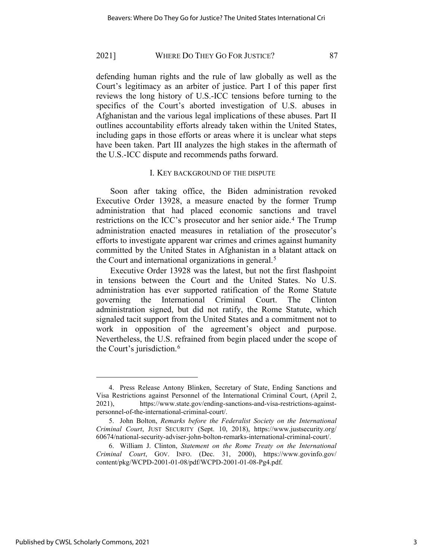defending human rights and the rule of law globally as well as the Court's legitimacy as an arbiter of justice. Part I of this paper first reviews the long history of U.S.-ICC tensions before turning to the specifics of the Court's aborted investigation of U.S. abuses in Afghanistan and the various legal implications of these abuses. Part II outlines accountability efforts already taken within the United States, including gaps in those efforts or areas where it is unclear what steps have been taken. Part III analyzes the high stakes in the aftermath of the U.S.-ICC dispute and recommends paths forward.

## <span id="page-2-4"></span><span id="page-2-3"></span>I. KEY BACKGROUND OF THE DISPUTE

Soon after taking office, the Biden administration revoked Executive Order 13928, a measure enacted by the former Trump administration that had placed economic sanctions and travel restrictions on the ICC's prosecutor and her senior aide.<sup>[4](#page-2-0)</sup> The Trump administration enacted measures in retaliation of the prosecutor's efforts to investigate apparent war crimes and crimes against humanity committed by the United States in Afghanistan in a blatant attack on the Court and international organizations in general.<sup>[5](#page-2-1)</sup>

Executive Order 13928 was the latest, but not the first flashpoint in tensions between the Court and the United States. No U.S. administration has ever supported ratification of the Rome Statute governing the International Criminal Court. The Clinton administration signed, but did not ratify, the Rome Statute, which signaled tacit support from the United States and a commitment not to work in opposition of the agreement's object and purpose. Nevertheless, the U.S. refrained from begin placed under the scope of the Court's jurisdiction.[6](#page-2-2) 

<span id="page-2-0"></span><sup>4.</sup> Press Release Antony Blinken, Secretary of State, Ending Sanctions and Visa Restrictions against Personnel of the International Criminal Court, (April 2, 2021), [https://www.state.gov/ending-sanctions-and-visa-restrictions-against](https://www.state.gov/ending-sanctions-and-visa-restrictions-against-personnel-of-the-international-criminal-court/)[personnel-of-the-international-criminal-court/.](https://www.state.gov/ending-sanctions-and-visa-restrictions-against-personnel-of-the-international-criminal-court/) 

<span id="page-2-1"></span><sup>5.</sup> John Bolton, *Remarks before the Federalist Society on the International Criminal Court*, JUST SECURITY (Sept. 10, 2018), [https://www.justsecurity.org/](https://www.justsecurity.org/60674/national-security-adviser-john-bolton-remarks-international-criminal-court/) [60674/national-security-adviser-john-bolton-remarks-international-criminal-court/.](https://www.justsecurity.org/60674/national-security-adviser-john-bolton-remarks-international-criminal-court/)

<span id="page-2-2"></span><sup>6.</sup> William J. Clinton, *Statement on the Rome Treaty on the International Criminal Court*, GOV. INFO. (Dec. 31, 2000), [https://www.govinfo.gov/](https://www.govinfo.gov/content/pkg/WCPD-2001-01-08/pdf/WCPD-2001-01-08-Pg4.pdf) [content/pkg/WCPD-2001-01-08/pdf/WCPD-2001-01-08-Pg4.pdf.](https://www.govinfo.gov/content/pkg/WCPD-2001-01-08/pdf/WCPD-2001-01-08-Pg4.pdf)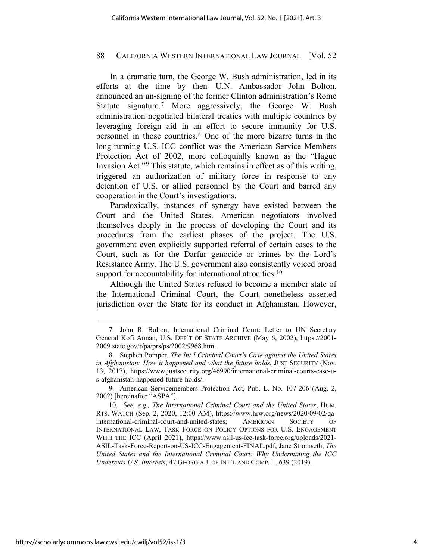In a dramatic turn, the George W. Bush administration, led in its efforts at the time by then—U.N. Ambassador John Bolton, announced an un-signing of the former Clinton administration's Rome Statute signature.<sup>[7](#page-3-0)</sup> More aggressively, the George W. Bush administration negotiated bilateral treaties with multiple countries by leveraging foreign aid in an effort to secure immunity for U.S. personnel in those countries.[8](#page-3-1) One of the more bizarre turns in the long-running U.S.-ICC conflict was the American Service Members Protection Act of 2002, more colloquially known as the "Hague Invasion Act."[9](#page-3-2) This statute, which remains in effect as of this writing, triggered an authorization of military force in response to any detention of U.S. or allied personnel by the Court and barred any cooperation in the Court's investigations.

<span id="page-3-4"></span>Paradoxically, instances of synergy have existed between the Court and the United States. American negotiators involved themselves deeply in the process of developing the Court and its procedures from the earliest phases of the project. The U.S. government even explicitly supported referral of certain cases to the Court, such as for the Darfur genocide or crimes by the Lord's Resistance Army. The U.S. government also consistently voiced broad support for accountability for international atrocities.<sup>[10](#page-3-3)</sup>

<span id="page-3-5"></span>Although the United States refused to become a member state of the International Criminal Court, the Court nonetheless asserted jurisdiction over the State for its conduct in Afghanistan. However,

<span id="page-3-0"></span><sup>7.</sup> John R. Bolton, International Criminal Court: Letter to UN Secretary General Kofi Annan, U.S. DEP'T OF STATE ARCHIVE (May 6, 2002), [https://2001-](https://2001-2009.state.gov/r/pa/prs/ps/2002/9968.htm) [2009.state.gov/r/pa/prs/ps/2002/9968.htm.](https://2001-2009.state.gov/r/pa/prs/ps/2002/9968.htm)

<span id="page-3-1"></span><sup>8.</sup> Stephen Pomper, *The Int'l Criminal Court's Case against the United States in Afghanistan: How it happened and what the future holds*, JUST SECURITY (Nov. 13, 2017), [https://www.justsecurity.org/46990/international-criminal-courts-case-u](https://www.justsecurity.org/46990/international-criminal-courts-case-u-s-afghanistan-happened-future-holds/)[s-afghanistan-happened-future-holds/.](https://www.justsecurity.org/46990/international-criminal-courts-case-u-s-afghanistan-happened-future-holds/)

<span id="page-3-2"></span><sup>9.</sup> American Servicemembers Protection Act, Pub. L. No. 107-206 (Aug. 2, 2002) [hereinafter "ASPA"].

<span id="page-3-3"></span><sup>10</sup>*. See, e.g., The International Criminal Court and the United States*, HUM. RTS. WATCH (Sep. 2, 2020, 12:00 AM), [https://www.hrw.org/news/2020/09/02/qa](https://www.hrw.org/news/2020/09/02/qa-international-criminal-court-and-united-states)[international-criminal-court-and-united-states;](https://www.hrw.org/news/2020/09/02/qa-international-criminal-court-and-united-states) AMERICAN SOCIETY OF INTERNATIONAL LAW, TASK FORCE ON POLICY OPTIONS FOR U.S. ENGAGEMENT WITH THE ICC (April 2021), [https://www.asil-us-icc-task-force.org/uploads/2021-](https://www.asil-us-icc-task-force.org/uploads/2021-ASIL-Task-Force-Report-on-US-ICC-Engagement-FINAL.pdf) [ASIL-Task-Force-Report-on-US-ICC-Engagement-FINAL.pdf;](https://www.asil-us-icc-task-force.org/uploads/2021-ASIL-Task-Force-Report-on-US-ICC-Engagement-FINAL.pdf) Jane Stromseth, *The United States and the International Criminal Court: Why Undermining the ICC Undercuts U.S. Interests*, 47 GEORGIA J. OF INT'L AND COMP. L. 639 (2019).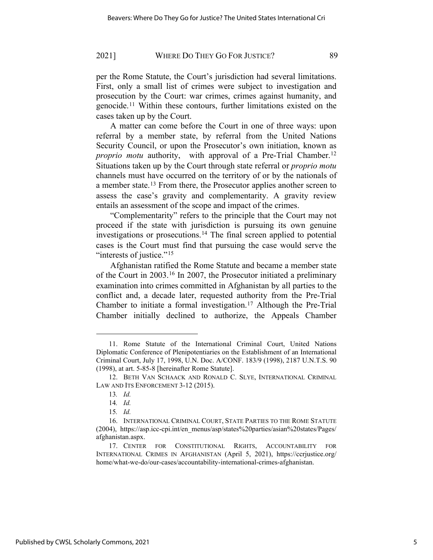per the Rome Statute, the Court's jurisdiction had several limitations. First, only a small list of crimes were subject to investigation and prosecution by the Court: war crimes, crimes against humanity, and genocide.[11](#page-4-0) Within these contours, further limitations existed on the cases taken up by the Court.

<span id="page-4-7"></span>A matter can come before the Court in one of three ways: upon referral by a member state, by referral from the United Nations Security Council, or upon the Prosecutor's own initiation, known as *proprio motu* authority, with approval of a Pre-Trial Chamber.<sup>[12](#page-4-1)</sup> Situations taken up by the Court through state referral or *proprio motu* channels must have occurred on the territory of or by the nationals of a member state.[13](#page-4-2) From there, the Prosecutor applies another screen to assess the case's gravity and complementarity. A gravity review entails an assessment of the scope and impact of the crimes.

"Complementarity" refers to the principle that the Court may not proceed if the state with jurisdiction is pursuing its own genuine investigations or prosecutions.[14](#page-4-3) The final screen applied to potential cases is the Court must find that pursuing the case would serve the "interests of justice."<sup>[15](#page-4-4)</sup>

Afghanistan ratified the Rome Statute and became a member state of the Court in 2003.[16](#page-4-5) In 2007, the Prosecutor initiated a preliminary examination into crimes committed in Afghanistan by all parties to the conflict and, a decade later, requested authority from the Pre-Trial Chamber to initiate a formal investigation.<sup>[17](#page-4-6)</sup> Although the Pre-Trial Chamber initially declined to authorize, the Appeals Chamber

<span id="page-4-0"></span><sup>11.</sup> Rome Statute of the International Criminal Court, United Nations Diplomatic Conference of Plenipotentiaries on the Establishment of an International Criminal Court, July 17, 1998, U.N. Doc. A/CONF. 183/9 (1998), 2187 U.N.T.S. 90 (1998), at art. 5-85-8 [hereinafter Rome Statute].

<span id="page-4-2"></span><span id="page-4-1"></span><sup>12.</sup> BETH VAN SCHAACK AND RONALD C. SLYE, INTERNATIONAL CRIMINAL LAW AND ITS ENFORCEMENT 3-12 (2015).

<sup>13</sup>*. Id.*

<sup>14</sup>*. Id.*

<sup>15</sup>*. Id.*

<span id="page-4-5"></span><span id="page-4-4"></span><span id="page-4-3"></span><sup>16.</sup> INTERNATIONAL CRIMINAL COURT, STATE PARTIES TO THE ROME STATUTE (2004), [https://asp.icc-cpi.int/en\\_menus/asp/states%20parties/asian%20states/Pages/](https://asp.icc-cpi.int/en_menus/asp/states%20parties/asian%20states/Pages/afghanistan.aspx) [afghanistan.aspx.](https://asp.icc-cpi.int/en_menus/asp/states%20parties/asian%20states/Pages/afghanistan.aspx)

<span id="page-4-6"></span><sup>17.</sup> CENTER FOR CONSTITUTIONAL RIGHTS, ACCOUNTABILITY FOR INTERNATIONAL CRIMES IN AFGHANISTAN (April 5, 2021), [https://ccrjustice.org/](https://ccrjustice.org/home/what-we-do/our-cases/accountability-international-crimes-afghanistan) [home/what-we-do/our-cases/accountability-international-crimes-afghanistan.](https://ccrjustice.org/home/what-we-do/our-cases/accountability-international-crimes-afghanistan)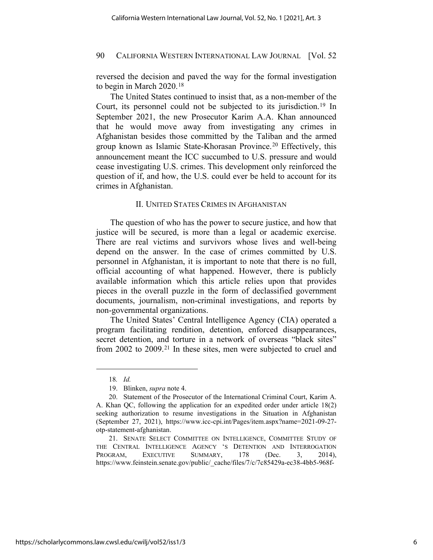reversed the decision and paved the way for the formal investigation to begin in March 2020.[18](#page-5-0)

The United States continued to insist that, as a non-member of the Court, its personnel could not be subjected to its jurisdiction.[19](#page-5-1) In September 2021, the new Prosecutor Karim A.A. Khan announced that he would move away from investigating any crimes in Afghanistan besides those committed by the Taliban and the armed group known as Islamic State-Khorasan Province.[20](#page-5-2) Effectively, this announcement meant the ICC succumbed to U.S. pressure and would cease investigating U.S. crimes. This development only reinforced the question of if, and how, the U.S. could ever be held to account for its crimes in Afghanistan.

## II. UNITED STATES CRIMES IN AFGHANISTAN

The question of who has the power to secure justice, and how that justice will be secured, is more than a legal or academic exercise. There are real victims and survivors whose lives and well-being depend on the answer. In the case of crimes committed by U.S. personnel in Afghanistan, it is important to note that there is no full, official accounting of what happened. However, there is publicly available information which this article relies upon that provides pieces in the overall puzzle in the form of declassified government documents, journalism, non-criminal investigations, and reports by non-governmental organizations.

The United States' Central Intelligence Agency (CIA) operated a program facilitating rendition, detention, enforced disappearances, secret detention, and torture in a network of overseas "black sites" from 2002 to 2009.[21](#page-5-3) In these sites, men were subjected to cruel and

<span id="page-5-3"></span>21. SENATE SELECT COMMITTEE ON INTELLIGENCE, COMMITTEE STUDY OF THE CENTRAL INTELLIGENCE AGENCY 'S DETENTION AND INTERROGATION PROGRAM, EXECUTIVE SUMMARY, 178 (Dec. 3, 2014), [https://www.feinstein.senate.gov/public/\\_cache/files/7/c/7c85429a-ec38-4bb5-968f-](https://www.feinstein.senate.gov/public/_cache/files/7/c/7c85429a-ec38-4bb5-968f-289799bf6d0e/D87288C34A6D9FF736F9459ABCF83210.sscistudy1.pdf)

<span id="page-5-4"></span><sup>18</sup>*. Id.*

<sup>19.</sup> Blinken, *supra* note [4.](#page-2-3)

<span id="page-5-2"></span><span id="page-5-1"></span><span id="page-5-0"></span><sup>20.</sup> Statement of the Prosecutor of the International Criminal Court, Karim A. A. Khan QC, following the application for an expedited order under article 18(2) seeking authorization to resume investigations in the Situation in Afghanistan (September 27, 2021), https://www.icc-cpi.int/Pages/item.aspx?name=2021-09-27 otp-statement-afghanistan.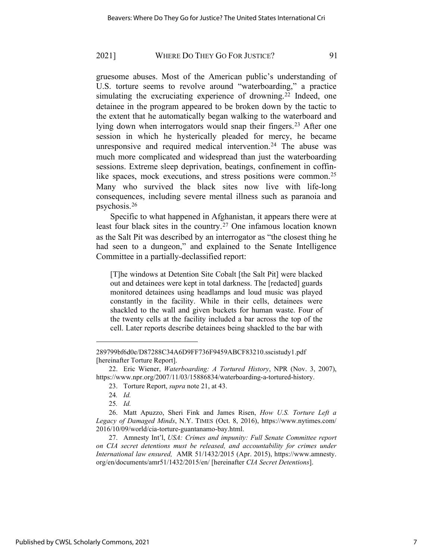gruesome abuses. Most of the American public's understanding of U.S. torture seems to revolve around "waterboarding," a practice simulating the excruciating experience of drowning.<sup>[22](#page-6-0)</sup> Indeed, one detainee in the program appeared to be broken down by the tactic to the extent that he automatically began walking to the waterboard and lying down when interrogators would snap their fingers.<sup>[23](#page-6-1)</sup> After one session in which he hysterically pleaded for mercy, he became unresponsive and required medical intervention.<sup>[24](#page-6-2)</sup> The abuse was much more complicated and widespread than just the waterboarding sessions. Extreme sleep deprivation, beatings, confinement in coffin-like spaces, mock executions, and stress positions were common.<sup>[25](#page-6-3)</sup> Many who survived the black sites now live with life-long consequences, including severe mental illness such as paranoia and psychosis.[26](#page-6-4)

Specific to what happened in Afghanistan, it appears there were at least four black sites in the country.[27](#page-6-5) One infamous location known as the Salt Pit was described by an interrogator as "the closest thing he had seen to a dungeon," and explained to the Senate Intelligence Committee in a partially-declassified report:

<span id="page-6-6"></span>[T]he windows at Detention Site Cobalt [the Salt Pit] were blacked out and detainees were kept in total darkness. The [redacted] guards monitored detainees using headlamps and loud music was played constantly in the facility. While in their cells, detainees were shackled to the wall and given buckets for human waste. Four of the twenty cells at the facility included a bar across the top of the cell. Later reports describe detainees being shackled to the bar with

[<sup>289799</sup>bf6d0e/D87288C34A6D9FF736F9459ABCF83210.sscistudy1.pdf](https://www.feinstein.senate.gov/public/_cache/files/7/c/7c85429a-ec38-4bb5-968f-289799bf6d0e/D87288C34A6D9FF736F9459ABCF83210.sscistudy1.pdf) [hereinafter Torture Report].

<span id="page-6-1"></span><span id="page-6-0"></span><sup>22.</sup> Eric Wiener, *Waterboarding: A Tortured History*, NPR (Nov. 3, 2007), [https://www.npr.org/2007/11/03/15886834/waterboarding-a-tortured-history.](https://www.npr.org/2007/11/03/15886834/waterboarding-a-tortured-history)

<sup>23.</sup> Torture Report, *supra* note [21,](#page-5-4) at 43.

<sup>24</sup>*. Id.*

<sup>25</sup>*. Id.*

<span id="page-6-4"></span><span id="page-6-3"></span><span id="page-6-2"></span><sup>26.</sup> Matt Apuzzo, Sheri Fink and James Risen, *How U.S. Torture Left a Legacy of Damaged Minds*, N.Y. TIMES (Oct. 8, 2016), [https://www.nytimes.com/](https://www.nytimes.com/2016/10/09/world/cia-torture-guantanamo-bay.html) [2016/10/09/world/cia-torture-guantanamo-bay.html.](https://www.nytimes.com/2016/10/09/world/cia-torture-guantanamo-bay.html)

<span id="page-6-5"></span><sup>27.</sup> Amnesty Int'l, *USA: Crimes and impunity: Full Senate Committee report on CIA secret detentions must be released, and accountability for crimes under International law ensured,* AMR 51/1432/2015 (Apr. 2015), [https://www.amnesty.](https://www.amnesty.org/en/documents/amr51/1432/2015/en/) [org/en/documents/amr51/1432/2015/en/](https://www.amnesty.org/en/documents/amr51/1432/2015/en/) [hereinafter *CIA Secret Detentions*].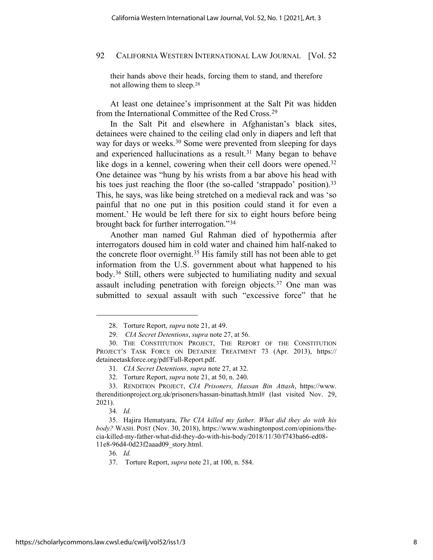their hands above their heads, forcing them to stand, and therefore not allowing them to sleep.[28](#page-7-0) 

At least one detainee's imprisonment at the Salt Pit was hidden from the International Committee of the Red Cross.[29](#page-7-1)

In the Salt Pit and elsewhere in Afghanistan's black sites, detainees were chained to the ceiling clad only in diapers and left that way for days or weeks.<sup>[30](#page-7-2)</sup> Some were prevented from sleeping for days and experienced hallucinations as a result.<sup>[31](#page-7-3)</sup> Many began to behave like dogs in a kennel, cowering when their cell doors were opened.<sup>[32](#page-7-4)</sup> One detainee was "hung by his wrists from a bar above his head with his toes just reaching the floor (the so-called 'strappado' position).<sup>[33](#page-7-5)</sup> This, he says, was like being stretched on a medieval rack and was 'so painful that no one put in this position could stand it for even a moment.' He would be left there for six to eight hours before being brought back for further interrogation."[34](#page-7-6)

Another man named Gul Rahman died of hypothermia after interrogators doused him in cold water and chained him half-naked to the concrete floor overnight.[35](#page-7-7) His family still has not been able to get information from the U.S. government about what happened to his body.[36](#page-7-8) Still, others were subjected to humiliating nudity and sexual assault including penetration with foreign objects.[37](#page-7-9) One man was submitted to sexual assault with such "excessive force" that he

34*. Id.*

36*. Id.*

<sup>28.</sup> Torture Report, *supra* note [21,](#page-5-4) at 49.

<sup>29.</sup> *CIA Secret Detentions*, *supra* not[e 27,](#page-6-6) at 56.

<span id="page-7-2"></span><span id="page-7-1"></span><span id="page-7-0"></span><sup>30.</sup> THE CONSTITUTION PROJECT, THE REPORT OF THE CONSTITUTION PROJECT'S TASK FORCE ON DETAINEE TREATMENT 73 (Apr. 2013), [https://](https://detaineetaskforce.org/pdf/Full-Report.pdf) [detaineetaskforce.org/pdf/Full-Report.pdf.](https://detaineetaskforce.org/pdf/Full-Report.pdf)

<sup>31.</sup> *CIA Secret Detentions, supra* note [27,](#page-6-6) at 32.

<sup>32.</sup> Torture Report, *supra* note [21,](#page-5-4) at 50, n. 240.

<span id="page-7-5"></span><span id="page-7-4"></span><span id="page-7-3"></span><sup>33.</sup> RENDITION PROJECT, *CIA Prisoners, Hassan Bin Attash*, [https://www.](https://www.therenditionproject.org.uk/prisoners/hassan-binattash.html) [therenditionproject.org.uk/prisoners/hassan-binattash.html#](https://www.therenditionproject.org.uk/prisoners/hassan-binattash.html) (last visited Nov. 29, 2021).

<span id="page-7-9"></span><span id="page-7-8"></span><span id="page-7-7"></span><span id="page-7-6"></span><sup>35.</sup> Hajira Hematyara, *The CIA killed my father. What did they do with his body?* WASH. POST (Nov. 30, 2018), [https://www.washingtonpost.com/opinions/the](https://www.washingtonpost.com/opinions/the-cia-killed-my-father-what-did-they-do-with-his-body/2018/11/30/f743ba66-ed08-11e8-96d4-0d23f2aaad09_story.html)[cia-killed-my-father-what-did-they-do-with-his-body/2018/11/30/f743ba66-ed08-](https://www.washingtonpost.com/opinions/the-cia-killed-my-father-what-did-they-do-with-his-body/2018/11/30/f743ba66-ed08-11e8-96d4-0d23f2aaad09_story.html) [11e8-96d4-0d23f2aaad09\\_story.html.](https://www.washingtonpost.com/opinions/the-cia-killed-my-father-what-did-they-do-with-his-body/2018/11/30/f743ba66-ed08-11e8-96d4-0d23f2aaad09_story.html) 

<sup>37.</sup> Torture Report, *supra* not[e 21,](#page-5-4) at 100, n. 584.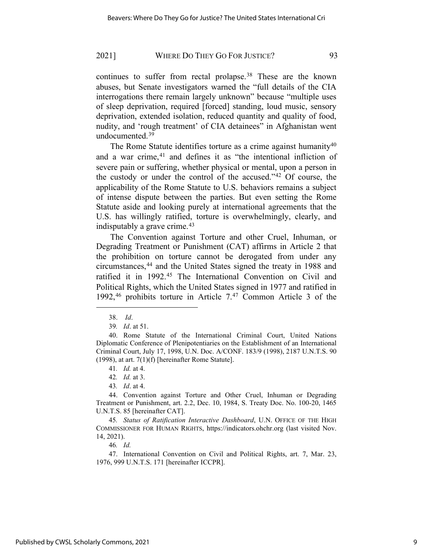continues to suffer from rectal prolapse.[38](#page-8-0) These are the known abuses, but Senate investigators warned the "full details of the CIA interrogations there remain largely unknown" because "multiple uses of sleep deprivation, required [forced] standing, loud music, sensory deprivation, extended isolation, reduced quantity and quality of food, nudity, and 'rough treatment' of CIA detainees" in Afghanistan went undocumented.[39](#page-8-1)

The Rome Statute identifies torture as a crime against humanity $40$ and a war crime,<sup>[41](#page-8-3)</sup> and defines it as "the intentional infliction of severe pain or suffering, whether physical or mental, upon a person in the custody or under the control of the accused."[42](#page-8-4) Of course, the applicability of the Rome Statute to U.S. behaviors remains a subject of intense dispute between the parties. But even setting the Rome Statute aside and looking purely at international agreements that the U.S. has willingly ratified, torture is overwhelmingly, clearly, and indisputably a grave crime.[43](#page-8-5)

The Convention against Torture and other Cruel, Inhuman, or Degrading Treatment or Punishment (CAT) affirms in Article 2 that the prohibition on torture cannot be derogated from under any circumstances,[44](#page-8-6) and the United States signed the treaty in 1988 and ratified it in 1992.[45](#page-8-7) The International Convention on Civil and Political Rights, which the United States signed in 1977 and ratified in 1992,[46](#page-8-8) prohibits torture in Article 7.[47](#page-8-9) Common Article 3 of the

<sup>38.</sup> *Id*.

<sup>39</sup>*. Id*. at 51.

<span id="page-8-2"></span><span id="page-8-1"></span><span id="page-8-0"></span><sup>40.</sup> Rome Statute of the International Criminal Court, United Nations Diplomatic Conference of Plenipotentiaries on the Establishment of an International Criminal Court, July 17, 1998, U.N. Doc. A/CONF. 183/9 (1998), 2187 U.N.T.S. 90  $(1998)$ , at art.  $7(1)(f)$  [hereinafter Rome Statute].

<sup>41</sup>*. Id.* at 4.

<sup>42</sup>*. Id.* at 3.

<sup>43</sup>*. Id*. at 4.

<span id="page-8-6"></span><span id="page-8-5"></span><span id="page-8-4"></span><span id="page-8-3"></span><sup>44.</sup> Convention against Torture and Other Cruel, Inhuman or Degrading Treatment or Punishment, art. 2.2, Dec. 10, 1984, S. Treaty Doc. No. 100-20, 1465 U.N.T.S. 85 [hereinafter CAT].

<span id="page-8-7"></span><sup>45</sup>*. Status of Ratification Interactive Dashboard*, U.N. OFFICE OF THE HIGH COMMISSIONER FOR HUMAN RIGHTS, [https://indicators.ohchr.org](https://indicators.ohchr.org/) (last visited Nov. 14, 2021).

<sup>46</sup>*. Id.*

<span id="page-8-9"></span><span id="page-8-8"></span><sup>47.</sup> International Convention on Civil and Political Rights, art. 7, Mar. 23, 1976, 999 U.N.T.S. 171 [hereinafter ICCPR].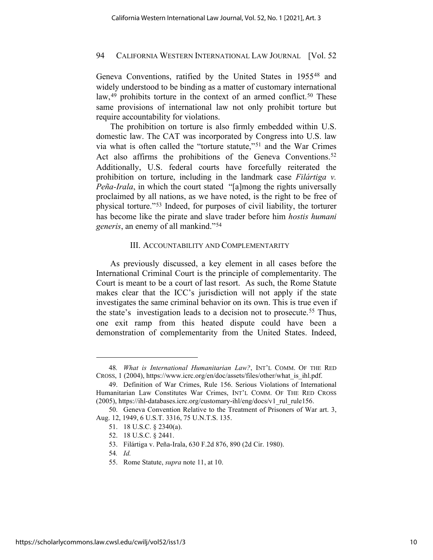Geneva Conventions, ratified by the United States in 1955[48](#page-9-0) and widely understood to be binding as a matter of customary international law,<sup>[49](#page-9-1)</sup> prohibits torture in the context of an armed conflict.<sup>[50](#page-9-2)</sup> These same provisions of international law not only prohibit torture but require accountability for violations.

The prohibition on torture is also firmly embedded within U.S. domestic law. The CAT was incorporated by Congress into U.S. law via what is often called the "torture statute,"[51](#page-9-3) and the War Crimes Act also affirms the prohibitions of the Geneva Conventions.<sup>[52](#page-9-4)</sup> Additionally, U.S. federal courts have forcefully reiterated the prohibition on torture, including in the landmark case *Filártiga v. Peña-Irala*, in which the court stated "[a]mong the rights universally proclaimed by all nations, as we have noted, is the right to be free of physical torture."[53](#page-9-5) Indeed, for purposes of civil liability, the torturer has become like the pirate and slave trader before him *hostis humani generis*, an enemy of all mankind."[54](#page-9-6) 

## III. ACCOUNTABILITY AND COMPLEMENTARITY

As previously discussed, a key element in all cases before the International Criminal Court is the principle of complementarity. The Court is meant to be a court of last resort. As such, the Rome Statute makes clear that the ICC's jurisdiction will not apply if the state investigates the same criminal behavior on its own. This is true even if the state's investigation leads to a decision not to prosecute.[55](#page-9-7) Thus, one exit ramp from this heated dispute could have been a demonstration of complementarity from the United States. Indeed,

<span id="page-9-0"></span><sup>48</sup>*. What is International Humanitarian Law?*, INT'L COMM. OF THE RED CROSS, 1 (2004), https://www.icrc.org/en/doc/assets/files/other/what\_is\_ihl.pdf.

<span id="page-9-1"></span><sup>49.</sup> Definition of War Crimes, Rule 156. Serious Violations of International Humanitarian Law Constitutes War Crimes, INT'L COMM. OF THE RED CROSS (2005)[, https://ihl-databases.icrc.org/customary-ihl/eng/docs/v1\\_rul\\_rule156.](https://ihl-databases.icrc.org/customary-ihl/eng/docs/v1_rul_rule156)

<span id="page-9-6"></span><span id="page-9-5"></span><span id="page-9-4"></span><span id="page-9-3"></span><span id="page-9-2"></span><sup>50.</sup> Geneva Convention Relative to the Treatment of Prisoners of War art. 3, Aug. 12, 1949, 6 U.S.T. 3316, 75 U.N.T.S. 135.

<sup>51.</sup> 18 U.S.C. § 2340(a).

<sup>52.</sup> 18 U.S.C. § 2441.

<sup>53.</sup> Filártiga v. Peña-Irala, 630 F.2d 876, 890 (2d Cir. 1980).

<sup>54</sup>*. Id.*

<span id="page-9-7"></span><sup>55.</sup> Rome Statute, *supra* not[e 11,](#page-4-7) at 10.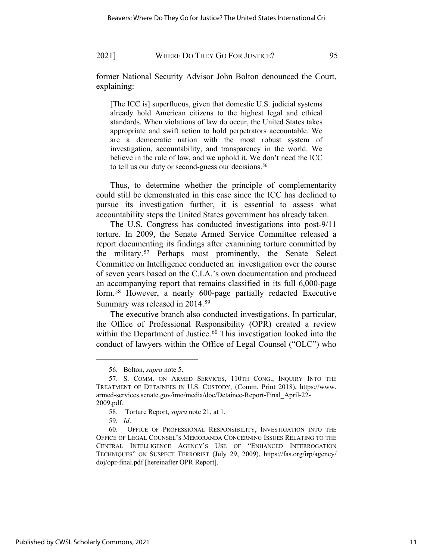former National Security Advisor John Bolton denounced the Court, explaining:

[The ICC is] superfluous, given that domestic U.S. judicial systems already hold American citizens to the highest legal and ethical standards. When violations of law do occur, the United States takes appropriate and swift action to hold perpetrators accountable. We are a democratic nation with the most robust system of investigation, accountability, and transparency in the world. We believe in the rule of law, and we uphold it. We don't need the ICC to tell us our duty or second-guess our decisions.<sup>[56](#page-10-0)</sup>

Thus, to determine whether the principle of complementarity could still be demonstrated in this case since the ICC has declined to pursue its investigation further, it is essential to assess what accountability steps the United States government has already taken.

The U.S. Congress has conducted investigations into post-9/11 torture. In 2009, the Senate Armed Service Committee released a report documenting its findings after examining torture committed by the military.[57](#page-10-1) Perhaps most prominently, the Senate Select Committee on Intelligence conducted an investigation over the course of seven years based on the C.I.A.'s own documentation and produced an accompanying report that remains classified in its full 6,000-page form.[58](#page-10-2) However, a nearly 600-page partially redacted Executive Summary was released in 2014.[59](#page-10-3) 

The executive branch also conducted investigations. In particular, the Office of Professional Responsibility (OPR) created a review within the Department of Justice.<sup>[60](#page-10-4)</sup> This investigation looked into the conduct of lawyers within the Office of Legal Counsel ("OLC") who

<span id="page-10-5"></span><sup>56.</sup> Bolton, *supra* not[e 5.](#page-2-4)

<span id="page-10-1"></span><span id="page-10-0"></span><sup>57.</sup> S. COMM. ON ARMED SERVICES, 110TH CONG., INQUIRY INTO THE TREATMENT OF DETAINEES IN U.S. CUSTODY, (Comm. Print 2018), [https://www.](https://www.armed-services.senate.gov/imo/media/doc/Detainee-Report-Final_April-22-2009.pdf) [armed-services.senate.gov/imo/media/doc/Detainee-Report-Final\\_April-22-](https://www.armed-services.senate.gov/imo/media/doc/Detainee-Report-Final_April-22-2009.pdf) [2009.pdf.](https://www.armed-services.senate.gov/imo/media/doc/Detainee-Report-Final_April-22-2009.pdf)

<sup>58.</sup> Torture Report, *supra* not[e 21,](#page-5-4) at 1.

<sup>59</sup>*. Id*.

<span id="page-10-4"></span><span id="page-10-3"></span><span id="page-10-2"></span><sup>60.</sup> OFFICE OF PROFESSIONAL RESPONSIBILITY, INVESTIGATION INTO THE OFFICE OF LEGAL COUNSEL'S MEMORANDA CONCERNING ISSUES RELATING TO THE CENTRAL INTELLIGENCE AGENCY'S USE OF "ENHANCED INTERROGATION TECHNIQUES" ON SUSPECT TERRORIST (July 29, 2009), [https://fas.org/irp/agency/](https://fas.org/irp/agency/doj/opr-final.pdf) [doj/opr-final.pdf](https://fas.org/irp/agency/doj/opr-final.pdf) [hereinafter OPR Report].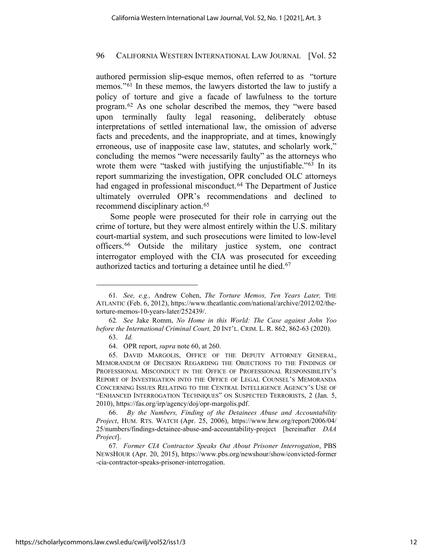authored permission slip-esque memos, often referred to as "torture memos."[61](#page-11-0) In these memos, the lawyers distorted the law to justify a policy of torture and give a facade of lawfulness to the torture program.[62](#page-11-1) As one scholar described the memos, they "were based upon terminally faulty legal reasoning, deliberately obtuse interpretations of settled international law, the omission of adverse facts and precedents, and the inappropriate, and at times, knowingly erroneous, use of inapposite case law, statutes, and scholarly work," concluding the memos "were necessarily faulty" as the attorneys who wrote them were "tasked with justifying the unjustifiable."<sup>[63](#page-11-2)</sup> In its report summarizing the investigation, OPR concluded OLC attorneys had engaged in professional misconduct.<sup>[64](#page-11-3)</sup> The Department of Justice ultimately overruled OPR's recommendations and declined to recommend disciplinary action.<sup>[65](#page-11-4)</sup>

<span id="page-11-7"></span>Some people were prosecuted for their role in carrying out the crime of torture, but they were almost entirely within the U.S. military court-martial system, and such prosecutions were limited to low-level officers.[66](#page-11-5) Outside the military justice system, one contract interrogator employed with the CIA was prosecuted for exceeding authorized tactics and torturing a detainee until he died.<sup>[67](#page-11-6)</sup>

<span id="page-11-0"></span><sup>61</sup>*. See, e.g.,* Andrew Cohen, *The Torture Memos, Ten Years Later,* THE ATLANTIC (Feb. 6, 2012), https://www.theatlantic.com/national/archive/2012/02/thetorture-memos-10-years-later/252439/.

<span id="page-11-2"></span><span id="page-11-1"></span><sup>62</sup>*. See* Jake Romm, *No Home in this World: The Case against John Yoo before the International Criminal Court,* 20 INT'L. CRIM. L. R. 862, 862-63 (2020).

<sup>63.</sup> *Id.*

<sup>64.</sup> OPR report, *supra* not[e 60,](#page-10-5) at 260.

<span id="page-11-4"></span><span id="page-11-3"></span><sup>65.</sup> DAVID MARGOLIS, OFFICE OF THE DEPUTY ATTORNEY GENERAL, MEMORANDUM OF DECISION REGARDING THE OBJECTIONS TO THE FINDINGS OF PROFESSIONAL MISCONDUCT IN THE OFFICE OF PROFESSIONAL RESPONSIBILITY'S REPORT OF INVESTIGATION INTO THE OFFICE OF LEGAL COUNSEL'S MEMORANDA CONCERNING ISSUES RELATING TO THE CENTRAL INTELLIGENCE AGENCY'S USE OF "ENHANCED INTERROGATION TECHNIQUES" ON SUSPECTED TERRORISTS, 2 (Jan. 5, 2010), [https://fas.org/irp/agency/doj/opr-margolis.pdf.](https://fas.org/irp/agency/doj/opr-margolis.pdf)

<span id="page-11-5"></span><sup>66.</sup> *By the Numbers, Finding of the Detainees Abuse and Accountability Project*, HUM. RTS. WATCH (Apr. 25, 2006), [https://www.hrw.org/report/2006/04/](https://www.hrw.org/report/2006/04/25/numbers/findings-detainee-abuse-and-accountability-project) [25/numbers/findings-detainee-abuse-and-accountability-project](https://www.hrw.org/report/2006/04/25/numbers/findings-detainee-abuse-and-accountability-project) [hereinafter *DAA Project*].

<span id="page-11-6"></span><sup>67</sup>*. Former CIA Contractor Speaks Out About Prisoner Interrogation*, PBS NEWSHOUR (Apr. 20, 2015), https://www.pbs.org/newshour/show/convicted-former -cia-contractor-speaks-prisoner-interrogation.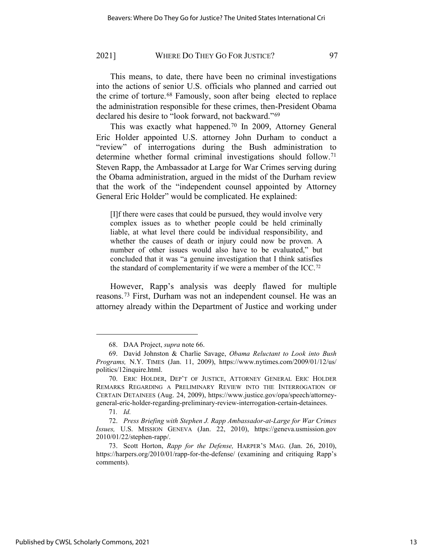This means, to date, there have been no criminal investigations into the actions of senior U.S. officials who planned and carried out the crime of torture.[68](#page-12-0) Famously, soon after being elected to replace the administration responsible for these crimes, then-President Obama declared his desire to "look forward, not backward."[69](#page-12-1)

This was exactly what happened.[70](#page-12-2) In 2009, Attorney General Eric Holder appointed U.S. attorney John Durham to conduct a "review" of interrogations during the Bush administration to determine whether formal criminal investigations should follow.<sup>[71](#page-12-3)</sup> Steven Rapp, the Ambassador at Large for War Crimes serving during the Obama administration, argued in the midst of the Durham review that the work of the "independent counsel appointed by Attorney General Eric Holder" would be complicated. He explained:

[I]f there were cases that could be pursued, they would involve very complex issues as to whether people could be held criminally liable, at what level there could be individual responsibility, and whether the causes of death or injury could now be proven. A number of other issues would also have to be evaluated," but concluded that it was "a genuine investigation that I think satisfies the standard of complementarity if we were a member of the ICC.[72](#page-12-4) 

However, Rapp's analysis was deeply flawed for multiple reasons.[73](#page-12-5) First, Durham was not an independent counsel. He was an attorney already within the Department of Justice and working under

<sup>68.</sup> DAA Project, *supra* note [66.](#page-11-7)

<span id="page-12-1"></span><span id="page-12-0"></span><sup>69.</sup> David Johnston & Charlie Savage, *Obama Reluctant to Look into Bush Programs,* N.Y. TIMES (Jan. 11, 2009), [https://www.nytimes.com/2009/01/12/us/](https://www.nytimes.com/2009/01/12/us/politics/12inquire.html) [politics/12inquire.html.](https://www.nytimes.com/2009/01/12/us/politics/12inquire.html) 

<span id="page-12-2"></span><sup>70.</sup> ERIC HOLDER, DEP'T OF JUSTICE, ATTORNEY GENERAL ERIC HOLDER REMARKS REGARDING A PRELIMINARY REVIEW INTO THE INTERROGATION OF CERTAIN DETAINEES (Aug. 24, 2009), [https://www.justice.gov/opa/speech/attorney](https://www.justice.gov/opa/speech/attorney-general-eric-holder-regarding-preliminary-review-interrogation-certain-detainees)[general-eric-holder-regarding-preliminary-review-interrogation-certain-detainees.](https://www.justice.gov/opa/speech/attorney-general-eric-holder-regarding-preliminary-review-interrogation-certain-detainees)

<sup>71</sup>*. Id.*

<span id="page-12-4"></span><span id="page-12-3"></span><sup>72.</sup> *Press Briefing with Stephen J. Rapp Ambassador-at-Large for War Crimes Issues,* U.S. MISSION GENEVA (Jan. 22, 2010), [https://geneva.usmission.gov](https://geneva.usmission.gov/2010/01/22/stephen-rapp/) [2010/01/22/stephen-rapp/.](https://geneva.usmission.gov/2010/01/22/stephen-rapp/)

<span id="page-12-5"></span><sup>73.</sup> Scott Horton, *Rapp for the Defense,* HARPER'S MAG. (Jan. 26, 2010), <https://harpers.org/2010/01/rapp-for-the-defense/> (examining and critiquing Rapp's comments).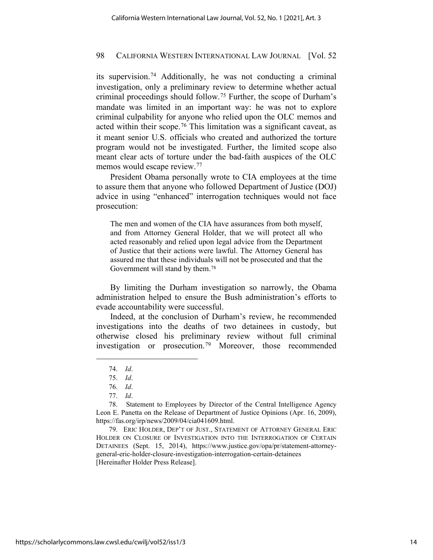its supervision.[74](#page-13-0) Additionally, he was not conducting a criminal investigation, only a preliminary review to determine whether actual criminal proceedings should follow.[75](#page-13-1) Further, the scope of Durham's mandate was limited in an important way: he was not to explore criminal culpability for anyone who relied upon the OLC memos and acted within their scope.[76](#page-13-2) This limitation was a significant caveat, as it meant senior U.S. officials who created and authorized the torture program would not be investigated. Further, the limited scope also meant clear acts of torture under the bad-faith auspices of the OLC memos would escape review.<sup>77</sup>

President Obama personally wrote to CIA employees at the time to assure them that anyone who followed Department of Justice (DOJ) advice in using "enhanced" interrogation techniques would not face prosecution:

The men and women of the CIA have assurances from both myself, and from Attorney General Holder, that we will protect all who acted reasonably and relied upon legal advice from the Department of Justice that their actions were lawful. The Attorney General has assured me that these individuals will not be prosecuted and that the Government will stand by them.[78](#page-13-4) 

By limiting the Durham investigation so narrowly, the Obama administration helped to ensure the Bush administration's efforts to evade accountability were successful.

Indeed, at the conclusion of Durham's review, he recommended investigations into the deaths of two detainees in custody, but otherwise closed his preliminary review without full criminal investigation or prosecution.[79](#page-13-5) Moreover, those recommended

<span id="page-13-5"></span>79. ERIC HOLDER, DEP'T OF JUST., STATEMENT OF ATTORNEY GENERAL ERIC HOLDER ON CLOSURE OF INVESTIGATION INTO THE INTERROGATION OF CERTAIN DETAINEES (Sept. 15, 2014), [https://www.justice.gov/opa/pr/statement-attorney](https://www.justice.gov/opa/pr/statement-attorney-general-eric-holder-closure-investigation-interrogation-certain-detainees)[general-eric-holder-closure-investigation-interrogation-certain-detainees](https://www.justice.gov/opa/pr/statement-attorney-general-eric-holder-closure-investigation-interrogation-certain-detainees) [Hereinafter Holder Press Release].

<span id="page-13-6"></span><sup>74.</sup> *Id*.

<sup>75.</sup> *Id*.

<sup>76.</sup> *Id*.

<sup>77.</sup> *Id*.

<span id="page-13-4"></span><span id="page-13-3"></span><span id="page-13-2"></span><span id="page-13-1"></span><span id="page-13-0"></span><sup>78.</sup> Statement to Employees by Director of the Central Intelligence Agency Leon E. Panetta on the Release of Department of Justice Opinions (Apr. 16, 2009), [https://fas.org/irp/news/2009/04/cia041609.html.](https://fas.org/irp/news/2009/04/cia041609.html)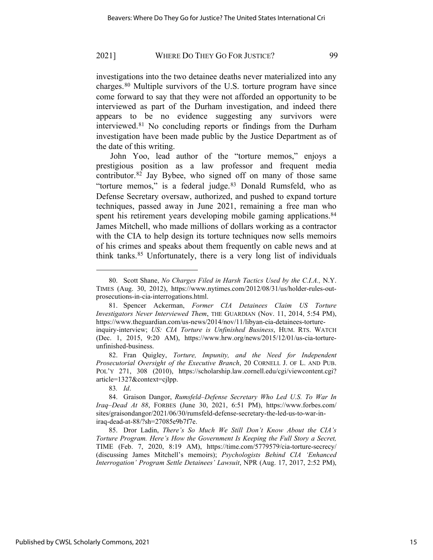investigations into the two detainee deaths never materialized into any charges.[80](#page-14-0) Multiple survivors of the U.S. torture program have since come forward to say that they were not afforded an opportunity to be interviewed as part of the Durham investigation, and indeed there appears to be no evidence suggesting any survivors were interviewed.[81](#page-14-1) No concluding reports or findings from the Durham investigation have been made public by the Justice Department as of the date of this writing.

John Yoo, lead author of the "torture memos," enjoys a prestigious position as a law professor and frequent media contributor.[82](#page-14-2) Jay Bybee, who signed off on many of those same "torture memos," is a federal judge.<sup>[83](#page-14-3)</sup> Donald Rumsfeld, who as Defense Secretary oversaw, authorized, and pushed to expand torture techniques, passed away in June 2021, remaining a free man who spent his retirement years developing mobile gaming applications.<sup>[84](#page-14-4)</sup> James Mitchell, who made millions of dollars working as a contractor with the CIA to help design its torture techniques now sells memoirs of his crimes and speaks about them frequently on cable news and at think tanks.[85](#page-14-5) Unfortunately, there is a very long list of individuals

83*. Id*.

<span id="page-14-0"></span><sup>80.</sup> Scott Shane, *No Charges Filed in Harsh Tactics Used by the C.I.A.,* N.Y. TIMES (Aug. 30, 2012), [https://www.nytimes.com/2012/08/31/us/holder-rules-out](https://www.nytimes.com/2012/08/31/us/holder-rules-out-prosecutions-in-cia-interrogations.html)[prosecutions-in-cia-interrogations.html.](https://www.nytimes.com/2012/08/31/us/holder-rules-out-prosecutions-in-cia-interrogations.html) 

<span id="page-14-1"></span><sup>81.</sup> Spencer Ackerman, *Former CIA Detainees Claim US Torture Investigators Never Interviewed Them*, THE GUARDIAN (Nov. 11, 2014, 5:54 PM), [https://www.theguardian.com/us-news/2014/nov/11/libyan-cia-detainees-torture](https://www.theguardian.com/us-news/2014/nov/11/libyan-cia-detainees-torture-inquiry-interview)[inquiry-interview;](https://www.theguardian.com/us-news/2014/nov/11/libyan-cia-detainees-torture-inquiry-interview) *US: CIA Torture is Unfinished Business*, HUM. RTS. WATCH (Dec. 1, 2015, 9:20 AM), https://www.hrw.org/news/2015/12/01/us-cia-tortureunfinished-business.

<span id="page-14-2"></span><sup>82.</sup> Fran Quigley, *Torture, Impunity, and the Need for Independent Prosecutorial Oversight of the Executive Branch*, 20 CORNELL J. OF L. AND PUB. POL'Y 271, 308 (2010), [https://scholarship.law.cornell.edu/cgi/viewcontent.cgi?](https://scholarship.law.cornell.edu/cgi/viewcontent.cgi?article=1327&context=cjlpp) [article=1327&context=cjlpp.](https://scholarship.law.cornell.edu/cgi/viewcontent.cgi?article=1327&context=cjlpp)

<span id="page-14-4"></span><span id="page-14-3"></span><sup>84.</sup> Graison Dangor, *Rumsfeld–Defense Secretary Who Led U.S. To War In Iraq–Dead At 88*, FORBES (June 30, 2021, 6:51 PM), [https://www.forbes.com/](https://www.forbes.com/sites/graisondangor/2021/06/30/rumsfeld-defense-secretary-the-led-us-to-war-in-iraq-dead-at-88/?sh=27085e9b7f7e) [sites/graisondangor/2021/06/30/rumsfeld-defense-secretary-the-led-us-to-war-in](https://www.forbes.com/sites/graisondangor/2021/06/30/rumsfeld-defense-secretary-the-led-us-to-war-in-iraq-dead-at-88/?sh=27085e9b7f7e)[iraq-dead-at-88/?sh=27085e9b7f7e.](https://www.forbes.com/sites/graisondangor/2021/06/30/rumsfeld-defense-secretary-the-led-us-to-war-in-iraq-dead-at-88/?sh=27085e9b7f7e)

<span id="page-14-5"></span><sup>85.</sup> Dror Ladin, *There's So Much We Still Don't Know About the CIA's Torture Program. Here's How the Government Is Keeping the Full Story a Secret,*  TIME (Feb. 7, 2020, 8:19 AM), <https://time.com/5779579/cia-torture-secrecy/> (discussing James Mitchell's memoirs); *Psychologists Behind CIA 'Enhanced Interrogation' Program Settle Detainees' Lawsuit*, NPR (Aug. 17, 2017, 2:52 PM),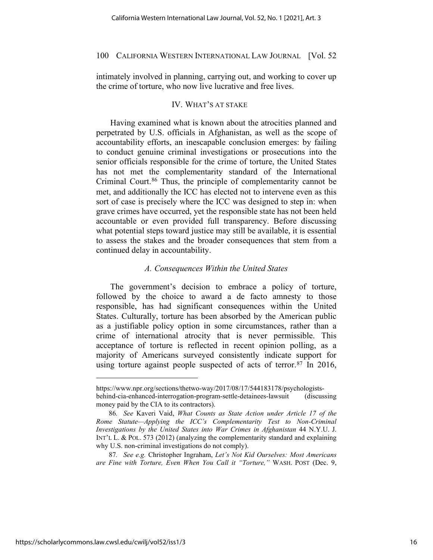intimately involved in planning, carrying out, and working to cover up the crime of torture, who now live lucrative and free lives.

## IV. WHAT'S AT STAKE

Having examined what is known about the atrocities planned and perpetrated by U.S. officials in Afghanistan, as well as the scope of accountability efforts, an inescapable conclusion emerges: by failing to conduct genuine criminal investigations or prosecutions into the senior officials responsible for the crime of torture, the United States has not met the complementarity standard of the International Criminal Court.<sup>[86](#page-15-0)</sup> Thus, the principle of complementarity cannot be met, and additionally the ICC has elected not to intervene even as this sort of case is precisely where the ICC was designed to step in: when grave crimes have occurred, yet the responsible state has not been held accountable or even provided full transparency. Before discussing what potential steps toward justice may still be available, it is essential to assess the stakes and the broader consequences that stem from a continued delay in accountability.

## *A. Consequences Within the United States*

The government's decision to embrace a policy of torture, followed by the choice to award a de facto amnesty to those responsible, has had significant consequences within the United States. Culturally, torture has been absorbed by the American public as a justifiable policy option in some circumstances, rather than a crime of international atrocity that is never permissible. This acceptance of torture is reflected in recent opinion polling, as a majority of Americans surveyed consistently indicate support for using torture against people suspected of acts of terror. $87 \text{ In } 2016$  $87 \text{ In } 2016$ ,

[https://www.npr.org/sections/thetwo-way/2017/08/17/544183178/psychologists](https://www.npr.org/sections/thetwo-way/2017/08/17/544183178/psychologists-behind-cia-enhanced-interrogation-program-settle-detainees-lawsuit)[behind-cia-enhanced-interrogation-program-settle-detainees-lawsuit](https://www.npr.org/sections/thetwo-way/2017/08/17/544183178/psychologists-behind-cia-enhanced-interrogation-program-settle-detainees-lawsuit) (discussing money paid by the CIA to its contractors).

<span id="page-15-0"></span><sup>86</sup>*. See* Kaveri Vaid, *What Counts as State Action under Article 17 of the Rome Statute—Applying the ICC's Complementarity Test to Non-Criminal Investigations by the United States into War Crimes in Afghanistan* 44 N.Y.U. J. INT'L L. & POL. 573 (2012) (analyzing the complementarity standard and explaining why U.S. non-criminal investigations do not comply).

<span id="page-15-1"></span><sup>87</sup>*. See e.g.* Christopher Ingraham, *Let's Not Kid Ourselves: Most Americans are Fine with Torture, Even When You Call it "Torture,"* WASH. POST (Dec. 9,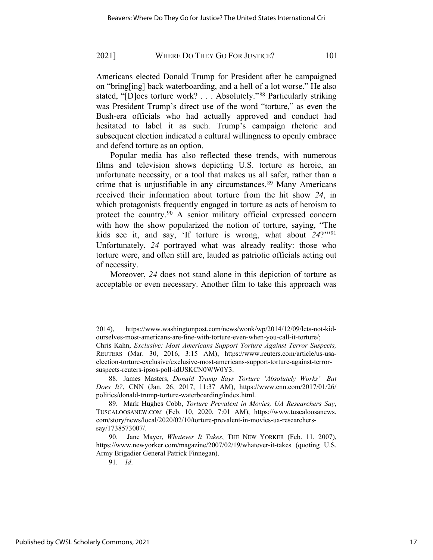Americans elected Donald Trump for President after he campaigned on "bring[ing] back waterboarding, and a hell of a lot worse." He also stated, "[D]oes torture work? . . . Absolutely."[88](#page-16-0) Particularly striking was President Trump's direct use of the word "torture," as even the Bush-era officials who had actually approved and conduct had hesitated to label it as such. Trump's campaign rhetoric and subsequent election indicated a cultural willingness to openly embrace and defend torture as an option.

Popular media has also reflected these trends, with numerous films and television shows depicting U.S. torture as heroic, an unfortunate necessity, or a tool that makes us all safer, rather than a crime that is unjustifiable in any circumstances.<sup>[89](#page-16-1)</sup> Many Americans received their information about torture from the hit show *24*, in which protagonists frequently engaged in torture as acts of heroism to protect the country.[90](#page-16-2) A senior military official expressed concern with how the show popularized the notion of torture, saying, "The kids see it, and say, 'If torture is wrong, what about *24*?'"[91](#page-16-3) Unfortunately, *24* portrayed what was already reality: those who torture were, and often still are, lauded as patriotic officials acting out of necessity.

Moreover, *24* does not stand alone in this depiction of torture as acceptable or even necessary. Another film to take this approach was

<sup>2014),</sup> [https://www.washingtonpost.com/news/wonk/wp/2014/12/09/lets-not-kid](https://www.washingtonpost.com/news/wonk/wp/2014/12/09/lets-not-kid-ourselves-most-americans-are-fine-with-torture-even-when-you-call-it-torture/)[ourselves-most-americans-are-fine-with-torture-even-when-you-call-it-torture/;](https://www.washingtonpost.com/news/wonk/wp/2014/12/09/lets-not-kid-ourselves-most-americans-are-fine-with-torture-even-when-you-call-it-torture/) Chris Kahn, *Exclusive: Most Americans Support Torture Against Terror Suspects,* 

<span id="page-16-0"></span>REUTERS (Mar. 30, 2016, 3:15 AM), [https://www.reuters.com/article/us-usa](https://www.reuters.com/article/us-usa-election-torture-exclusive/exclusive-most-americans-support-torture-against-terror-suspects-reuters-ipsos-poll-idUSKCN0WW0Y3)[election-torture-exclusive/exclusive-most-americans-support-torture-against-terror](https://www.reuters.com/article/us-usa-election-torture-exclusive/exclusive-most-americans-support-torture-against-terror-suspects-reuters-ipsos-poll-idUSKCN0WW0Y3)[suspects-reuters-ipsos-poll-idUSKCN0WW0Y3.](https://www.reuters.com/article/us-usa-election-torture-exclusive/exclusive-most-americans-support-torture-against-terror-suspects-reuters-ipsos-poll-idUSKCN0WW0Y3)

<span id="page-16-1"></span><sup>88.</sup> James Masters, *Donald Trump Says Torture 'Absolutely Works'—But Does It?*, CNN (Jan. 26, 2017, 11:37 AM), [https://www.cnn.com/2017/01/26/](https://www.cnn.com/2017/01/26/politics/donald-trump-torture-waterboarding/index.html) [politics/donald-trump-torture-waterboarding/index.html.](https://www.cnn.com/2017/01/26/politics/donald-trump-torture-waterboarding/index.html)

<span id="page-16-2"></span><sup>89.</sup> Mark Hughes Cobb, *Torture Prevalent in Movies, UA Researchers Say*, TUSCALOOSANEW.COM (Feb. 10, 2020, 7:01 AM), [https://www.tuscaloosanews.](https://www.tuscaloosanews.com/story/news/local/2020/02/10/torture-prevalent-in-movies-ua-researchers-say/1738573007/) [com/story/news/local/2020/02/10/torture-prevalent-in-movies-ua-researchers](https://www.tuscaloosanews.com/story/news/local/2020/02/10/torture-prevalent-in-movies-ua-researchers-say/1738573007/)[say/1738573007/.](https://www.tuscaloosanews.com/story/news/local/2020/02/10/torture-prevalent-in-movies-ua-researchers-say/1738573007/)

<span id="page-16-3"></span><sup>90.</sup> Jane Mayer, *Whatever It Takes*, THE NEW YORKER (Feb. 11, 2007), <https://www.newyorker.com/magazine/2007/02/19/whatever-it-takes> (quoting U.S. Army Brigadier General Patrick Finnegan).

<sup>91.</sup> *Id*.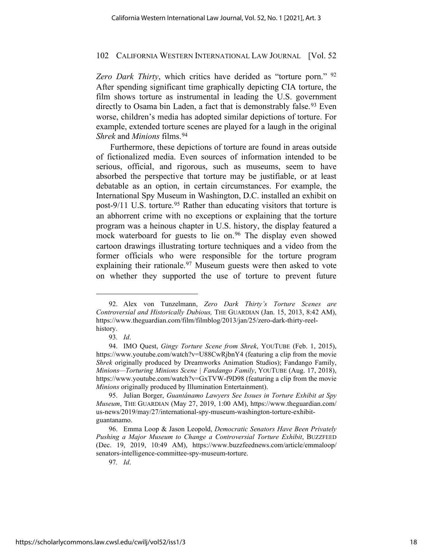*Zero Dark Thirty*, which critics have derided as "torture porn." [92](#page-17-0) After spending significant time graphically depicting CIA torture, the film shows torture as instrumental in leading the U.S. government directly to Osama bin Laden, a fact that is demonstrably false.<sup>[93](#page-17-1)</sup> Even worse, children's media has adopted similar depictions of torture. For example, extended torture scenes are played for a laugh in the original *Shrek* and *Minions* films.[94](#page-17-2)

Furthermore, these depictions of torture are found in areas outside of fictionalized media. Even sources of information intended to be serious, official, and rigorous, such as museums, seem to have absorbed the perspective that torture may be justifiable, or at least debatable as an option, in certain circumstances. For example, the International Spy Museum in Washington, D.C. installed an exhibit on post-9/11 U.S. torture.<sup>[95](#page-17-3)</sup> Rather than educating visitors that torture is an abhorrent crime with no exceptions or explaining that the torture program was a heinous chapter in U.S. history, the display featured a mock waterboard for guests to lie on.<sup>[96](#page-17-4)</sup> The display even showed cartoon drawings illustrating torture techniques and a video from the former officials who were responsible for the torture program explaining their rationale.<sup>[97](#page-17-5)</sup> Museum guests were then asked to vote on whether they supported the use of torture to prevent future

<span id="page-17-0"></span><sup>92.</sup> Alex von Tunzelmann, *Zero Dark Thirty's Torture Scenes are Controversial and Historically Dubious,* THE GUARDIAN (Jan. 15, 2013, 8:42 AM), [https://www.theguardian.com/film/filmblog/2013/jan/25/zero-dark-thirty-reel](https://www.theguardian.com/film/filmblog/2013/jan/25/zero-dark-thirty-reel-history)[history.](https://www.theguardian.com/film/filmblog/2013/jan/25/zero-dark-thirty-reel-history)

<sup>93</sup>*. Id*.

<span id="page-17-2"></span><span id="page-17-1"></span><sup>94.</sup> IMO Quest, *Gingy Torture Scene from Shrek*, YOUTUBE (Feb. 1, 2015), <https://www.youtube.com/watch?v=U88CwRjbnY4> (featuring a clip from the movie *Shrek* originally produced by Dreamworks Animation Studios); Fandango Family, *Minions—Torturing Minions Scene | Fandango Family*, YOUTUBE (Aug. 17, 2018), https://www.youtube.com/watch?v=GxTVW-f9D98 (featuring a clip from the movie *Minions* originally produced by Illumination Entertainment).

<span id="page-17-3"></span><sup>95.</sup> Julian Borger, *Guantánamo Lawyers See Issues in Torture Exhibit at Spy Museum*, THE GUARDIAN (May 27, 2019, 1:00 AM), [https://www.theguardian.com/](https://www.theguardian.com/us-news/2019/may/27/international-spy-museum-washington-torture-exhibit-guantanamo) [us-news/2019/may/27/international-spy-museum-washington-torture-exhibit](https://www.theguardian.com/us-news/2019/may/27/international-spy-museum-washington-torture-exhibit-guantanamo)[guantanamo.](https://www.theguardian.com/us-news/2019/may/27/international-spy-museum-washington-torture-exhibit-guantanamo)

<span id="page-17-5"></span><span id="page-17-4"></span><sup>96.</sup> Emma Loop & Jason Leopold, *Democratic Senators Have Been Privately Pushing a Major Museum to Change a Controversial Torture Exhibit*, BUZZFEED (Dec. 19, 2019, 10:49 AM), https://www.buzzfeednews.com/article/emmaloop/ senators-intelligence-committee-spy-museum-torture.

<sup>97</sup>*. Id*.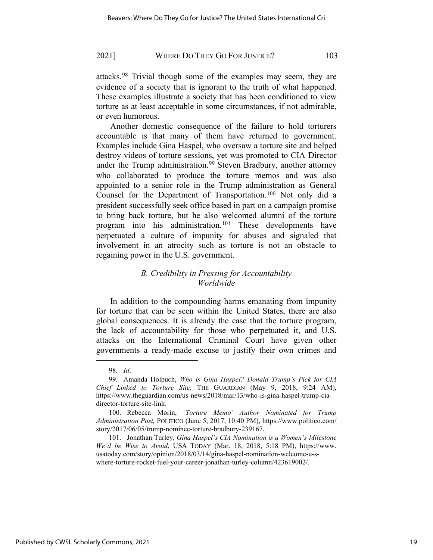attacks.[98](#page-18-0) Trivial though some of the examples may seem, they are evidence of a society that is ignorant to the truth of what happened. These examples illustrate a society that has been conditioned to view torture as at least acceptable in some circumstances, if not admirable, or even humorous.

Another domestic consequence of the failure to hold torturers accountable is that many of them have returned to government. Examples include Gina Haspel, who oversaw a torture site and helped destroy videos of torture sessions, yet was promoted to CIA Director under the Trump administration.<sup>[99](#page-18-1)</sup> Steven Bradbury, another attorney who collaborated to produce the torture memos and was also appointed to a senior role in the Trump administration as General Counsel for the Department of Transportation.[100](#page-18-2) Not only did a president successfully seek office based in part on a campaign promise to bring back torture, but he also welcomed alumni of the torture program into his administration.[101](#page-18-3) These developments have perpetuated a culture of impunity for abuses and signaled that involvement in an atrocity such as torture is not an obstacle to regaining power in the U.S. government.

# *B. Credibility in Pressing for Accountability Worldwide*

In addition to the compounding harms emanating from impunity for torture that can be seen within the United States, there are also global consequences. It is already the case that the torture program, the lack of accountability for those who perpetuated it, and U.S. attacks on the International Criminal Court have given other governments a ready-made excuse to justify their own crimes and

<sup>98</sup>*. Id*.

<span id="page-18-1"></span><span id="page-18-0"></span><sup>99.</sup> Amanda Holpuch, *Who is Gina Haspel? Donald Trump's Pick for CIA Chief Linked to Torture Site,* THE GUARDIAN (May 9, 2018, 9:24 AM), [https://www.theguardian.com/us-news/2018/mar/13/who-is-gina-haspel-trump-cia](https://www.theguardian.com/us-news/2018/mar/13/who-is-gina-haspel-trump-cia-director-torture-site-link)[director-torture-site-link.](https://www.theguardian.com/us-news/2018/mar/13/who-is-gina-haspel-trump-cia-director-torture-site-link)

<span id="page-18-2"></span><sup>100.</sup> Rebecca Morin, *'Torture Memo' Author Nominated for Trump Administration Post,* POLITICO (June 5, 2017, 10:40 PM), [https://www.politico.com/](https://www.politico.com/story/2017/06/05/trump-nominee-torture-bradbury-239167) [story/2017/06/05/trump-nominee-torture-bradbury-239167.](https://www.politico.com/story/2017/06/05/trump-nominee-torture-bradbury-239167)

<span id="page-18-3"></span><sup>101.</sup> Jonathan Turley, *Gina Haspel's CIA Nomination is a Women's Milestone We'd be Wise to Avoid*, USA TODAY (Mar. 18, 2018, 5:18 PM), [https://www.](https://www.usatoday.com/story/opinion/2018/03/14/gina-haspel-nomination-welcome-u-s-where-torture-rocket-fuel-your-career-jonathan-turley-column/423619002/) [usatoday.com/story/opinion/2018/03/14/gina-haspel-nomination-welcome-u-s](https://www.usatoday.com/story/opinion/2018/03/14/gina-haspel-nomination-welcome-u-s-where-torture-rocket-fuel-your-career-jonathan-turley-column/423619002/)[where-torture-rocket-fuel-your-career-jonathan-turley-column/423619002/.](https://www.usatoday.com/story/opinion/2018/03/14/gina-haspel-nomination-welcome-u-s-where-torture-rocket-fuel-your-career-jonathan-turley-column/423619002/)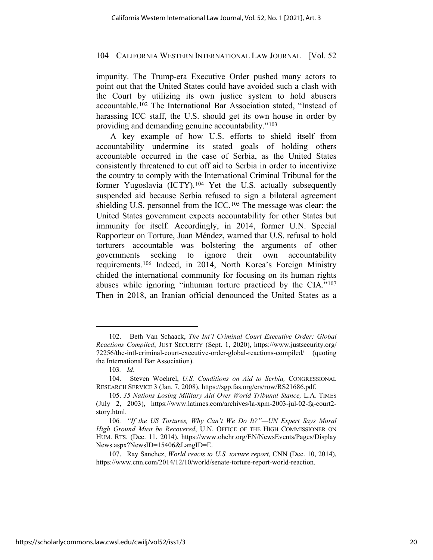<span id="page-19-6"></span>impunity. The Trump-era Executive Order pushed many actors to point out that the United States could have avoided such a clash with the Court by utilizing its own justice system to hold abusers accountable.[102](#page-19-0) The International Bar Association stated, "Instead of harassing ICC staff, the U.S. should get its own house in order by providing and demanding genuine accountability."[103](#page-19-1)

A key example of how U.S. efforts to shield itself from accountability undermine its stated goals of holding others accountable occurred in the case of Serbia, as the United States consistently threatened to cut off aid to Serbia in order to incentivize the country to comply with the International Criminal Tribunal for the former Yugoslavia (ICTY).<sup>[104](#page-19-2)</sup> Yet the U.S. actually subsequently suspended aid because Serbia refused to sign a bilateral agreement shielding U.S. personnel from the ICC.<sup>[105](#page-19-3)</sup> The message was clear: the United States government expects accountability for other States but immunity for itself. Accordingly, in 2014, former U.N. Special Rapporteur on Torture, Juan Méndez, warned that U.S. refusal to hold torturers accountable was bolstering the arguments of other governments seeking to ignore their own accountability requirements.[106](#page-19-4) Indeed, in 2014, North Korea's Foreign Ministry chided the international community for focusing on its human rights abuses while ignoring "inhuman torture practiced by the CIA."[107](#page-19-5) Then in 2018, an Iranian official denounced the United States as a

<span id="page-19-0"></span><sup>102.</sup> Beth Van Schaack, *The Int'l Criminal Court Executive Order: Global Reactions Compiled*, JUST SECURITY (Sept. 1, 2020), [https://www.justsecurity.org/](https://www.justsecurity.org/72256/the-intl-criminal-court-executive-order-global-reactions-compiled/) [72256/the-intl-criminal-court-executive-order-global-reactions-compiled/](https://www.justsecurity.org/72256/the-intl-criminal-court-executive-order-global-reactions-compiled/) (quoting the International Bar Association).

<sup>103</sup>*. Id*.

<span id="page-19-2"></span><span id="page-19-1"></span><sup>104.</sup> Steven Woehrel, *U.S. Conditions on Aid to Serbia,* CONGRESSIONAL RESEARCH SERVICE 3 (Jan. 7, 2008), [https://sgp.fas.org/crs/row/RS21686.pdf.](https://sgp.fas.org/crs/row/RS21686.pdf) 

<span id="page-19-3"></span><sup>105.</sup> *35 Nations Losing Military Aid Over World Tribunal Stance,* L.A. TIMES (July 2, 2003), https://www.latimes.com/archives/la-xpm-2003-jul-02-fg-court2 story.html.

<span id="page-19-4"></span><sup>106</sup>*. "If the US Tortures, Why Can't We Do It?"—UN Expert Says Moral High Ground Must be Recovered*, U.N. OFFICE OF THE HIGH COMMISSIONER ON HUM. RTS. (Dec. 11, 2014), [https://www.ohchr.org/EN/NewsEvents/Pages/Display](https://www.ohchr.org/EN/NewsEvents/Pages/DisplayNews.aspx?NewsID=15406&LangID=E) [News.aspx?NewsID=15406&LangID=E.](https://www.ohchr.org/EN/NewsEvents/Pages/DisplayNews.aspx?NewsID=15406&LangID=E)

<span id="page-19-5"></span><sup>107.</sup> Ray Sanchez, *World reacts to U.S. torture report,* CNN (Dec. 10, 2014), [https://www.cnn.com/2014/12/10/world/senate-torture-report-world-reaction.](https://www.cnn.com/2014/12/10/world/senate-torture-report-world-reaction)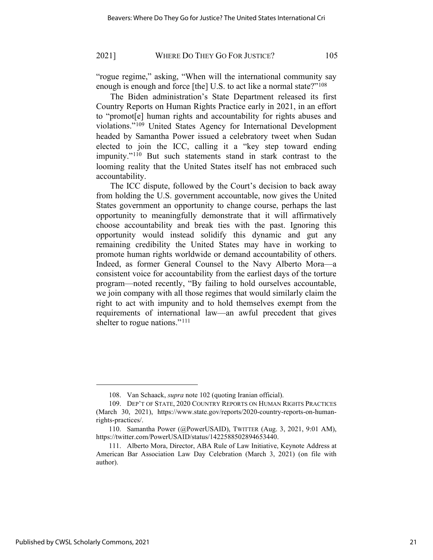"rogue regime," asking, "When will the international community say enough is enough and force [the] U.S. to act like a normal state?"<sup>108</sup>

The Biden administration's State Department released its first Country Reports on Human Rights Practice early in 2021, in an effort to "promot[e] human rights and accountability for rights abuses and violations."[109](#page-20-1) United States Agency for International Development headed by Samantha Power issued a celebratory tweet when Sudan elected to join the ICC, calling it a "key step toward ending impunity."[110](#page-20-2) But such statements stand in stark contrast to the looming reality that the United States itself has not embraced such accountability.

The ICC dispute, followed by the Court's decision to back away from holding the U.S. government accountable, now gives the United States government an opportunity to change course, perhaps the last opportunity to meaningfully demonstrate that it will affirmatively choose accountability and break ties with the past. Ignoring this opportunity would instead solidify this dynamic and gut any remaining credibility the United States may have in working to promote human rights worldwide or demand accountability of others. Indeed, as former General Counsel to the Navy Alberto Mora—a consistent voice for accountability from the earliest days of the torture program—noted recently, "By failing to hold ourselves accountable, we join company with all those regimes that would similarly claim the right to act with impunity and to hold themselves exempt from the requirements of international law—an awful precedent that gives shelter to rogue nations."<sup>[111](#page-20-3)</sup>

<sup>108.</sup> Van Schaack, *supra* note [102](#page-19-6) (quoting Iranian official).

<span id="page-20-1"></span><span id="page-20-0"></span><sup>109.</sup> DEP'T OF STATE, 2020 COUNTRY REPORTS ON HUMAN RIGHTS PRACTICES (March 30, 2021), [https://www.state.gov/reports/2020-country-reports-on-human](https://www.state.gov/reports/2020-country-reports-on-human-rights-practices/)[rights-practices/.](https://www.state.gov/reports/2020-country-reports-on-human-rights-practices/) 

<span id="page-20-2"></span><sup>110.</sup> Samantha Power (@PowerUSAID), TWITTER (Aug. 3, 2021, 9:01 AM), [https://twitter.com/PowerUSAID/status/1422588502894653440.](https://twitter.com/PowerUSAID/status/1422588502894653440)

<span id="page-20-3"></span><sup>111.</sup> Alberto Mora, Director, ABA Rule of Law Initiative, Keynote Address at American Bar Association Law Day Celebration (March 3, 2021) (on file with author).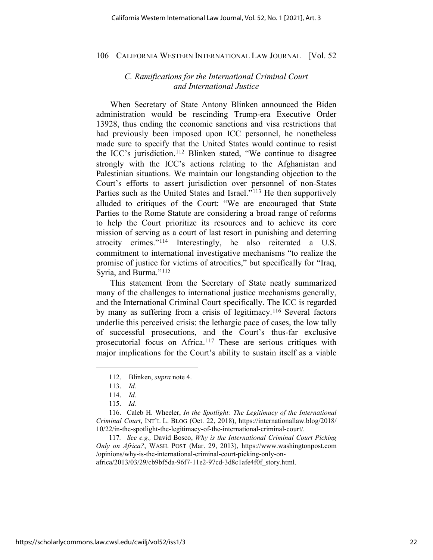## *C. Ramifications for the International Criminal Court and International Justice*

When Secretary of State Antony Blinken announced the Biden administration would be rescinding Trump-era Executive Order 13928, thus ending the economic sanctions and visa restrictions that had previously been imposed upon ICC personnel, he nonetheless made sure to specify that the United States would continue to resist the ICC's jurisdiction.[112](#page-21-0) Blinken stated, "We continue to disagree strongly with the ICC's actions relating to the Afghanistan and Palestinian situations. We maintain our longstanding objection to the Court's efforts to assert jurisdiction over personnel of non-States Parties such as the United States and Israel."<sup>[113](#page-21-1)</sup> He then supportively alluded to critiques of the Court: "We are encouraged that State Parties to the Rome Statute are considering a broad range of reforms to help the Court prioritize its resources and to achieve its core mission of serving as a court of last resort in punishing and deterring atrocity crimes."[114](#page-21-2) Interestingly, he also reiterated a U.S. commitment to international investigative mechanisms "to realize the promise of justice for victims of atrocities," but specifically for "Iraq, Syria, and Burma."<sup>[115](#page-21-3)</sup>

This statement from the Secretary of State neatly summarized many of the challenges to international justice mechanisms generally, and the International Criminal Court specifically. The ICC is regarded by many as suffering from a crisis of legitimacy.<sup>[116](#page-21-4)</sup> Several factors underlie this perceived crisis: the lethargic pace of cases, the low tally of successful prosecutions, and the Court's thus-far exclusive prosecutorial focus on Africa.[117](#page-21-5) These are serious critiques with major implications for the Court's ability to sustain itself as a viable

<span id="page-21-5"></span>117*. See e.g.,* David Bosco, *Why is the International Criminal Court Picking Only on Africa?*, WASH. POST (Mar. 29, 2013), [https://www.washingtonpost.com](https://www.washingtonpost.com/opinions/why-is-the-international-criminal-court-picking-only-on-africa/2013/03/29/cb9bf5da-96f7-11e2-97cd-3d8c1afe4f0f_story.html) [/opinions/why-is-the-international-criminal-court-picking-only-on](https://www.washingtonpost.com/opinions/why-is-the-international-criminal-court-picking-only-on-africa/2013/03/29/cb9bf5da-96f7-11e2-97cd-3d8c1afe4f0f_story.html)[africa/2013/03/29/cb9bf5da-96f7-11e2-97cd-3d8c1afe4f0f\\_story.html.](https://www.washingtonpost.com/opinions/why-is-the-international-criminal-court-picking-only-on-africa/2013/03/29/cb9bf5da-96f7-11e2-97cd-3d8c1afe4f0f_story.html)

<sup>112.</sup> Blinken, *supra* not[e 4.](#page-2-3)

<sup>113.</sup> *Id.*

<sup>114.</sup> *Id.*

<sup>115.</sup> *Id.*

<span id="page-21-4"></span><span id="page-21-3"></span><span id="page-21-2"></span><span id="page-21-1"></span><span id="page-21-0"></span><sup>116.</sup> Caleb H. Wheeler, *In the Spotlight: The Legitimacy of the International Criminal Court*, INT'L L. BLOG (Oct. 22, 2018), [https://internationallaw.blog/2018/](https://internationallaw.blog/2018/10/22/in-the-spotlight-the-legitimacy-of-the-international-criminal-court/) [10/22/in-the-spotlight-the-legitimacy-of-the-international-criminal-court/.](https://internationallaw.blog/2018/10/22/in-the-spotlight-the-legitimacy-of-the-international-criminal-court/)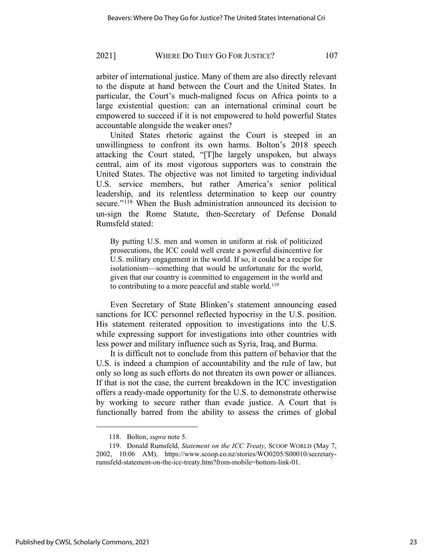arbiter of international justice. Many of them are also directly relevant to the dispute at hand between the Court and the United States. In particular, the Court's much-maligned focus on Africa points to a large existential question: can an international criminal court be empowered to succeed if it is not empowered to hold powerful States accountable alongside the weaker ones?

United States rhetoric against the Court is steeped in an unwillingness to confront its own harms. Bolton's 2018 speech attacking the Court stated, "[T]he largely unspoken, but always central, aim of its most vigorous supporters was to constrain the United States. The objective was not limited to targeting individual U.S. service members, but rather America's senior political leadership, and its relentless determination to keep our country secure."<sup>[118](#page-22-0)</sup> When the Bush administration announced its decision to un-sign the Rome Statute, then-Secretary of Defense Donald Rumsfeld stated:

By putting U.S. men and women in uniform at risk of politicized prosecutions, the ICC could well create a powerful disincentive for U.S. military engagement in the world. If so, it could be a recipe for isolationism—something that would be unfortunate for the world, given that our country is committed to engagement in the world and to contributing to a more peaceful and stable world.[119](#page-22-1) 

Even Secretary of State Blinken's statement announcing eased sanctions for ICC personnel reflected hypocrisy in the U.S. position. His statement reiterated opposition to investigations into the U.S. while expressing support for investigations into other countries with less power and military influence such as Syria, Iraq, and Burma.

It is difficult not to conclude from this pattern of behavior that the U.S. is indeed a champion of accountability and the rule of law, but only so long as such efforts do not threaten its own power or alliances. If that is not the case, the current breakdown in the ICC investigation offers a ready-made opportunity for the U.S. to demonstrate otherwise by working to secure rather than evade justice. A Court that is functionally barred from the ability to assess the crimes of global

<sup>118.</sup> Bolton, *supra* not[e 5.](#page-2-4)

<span id="page-22-1"></span><span id="page-22-0"></span><sup>119.</sup> Donald Rumsfeld, *Statement on the ICC Treaty*, SCOOP WORLD (May 7, 2002, 10:06 AM), [https://www.scoop.co.nz/stories/WO0205/S00010/secretary](https://www.scoop.co.nz/stories/WO0205/S00010/secretary-rumsfeld-statement-on-the-icc-treaty.htm?from-mobile=bottom-link-01)[rumsfeld-statement-on-the-icc-treaty.htm?from-mobile=bottom-link-01.](https://www.scoop.co.nz/stories/WO0205/S00010/secretary-rumsfeld-statement-on-the-icc-treaty.htm?from-mobile=bottom-link-01)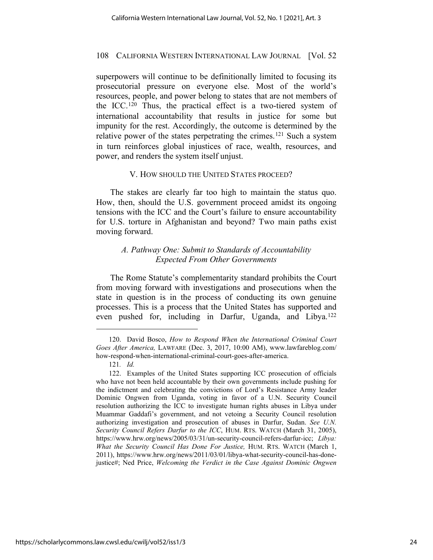superpowers will continue to be definitionally limited to focusing its prosecutorial pressure on everyone else. Most of the world's resources, people, and power belong to states that are not members of the ICC.[120](#page-23-0) Thus, the practical effect is a two-tiered system of international accountability that results in justice for some but impunity for the rest. Accordingly, the outcome is determined by the relative power of the states perpetrating the crimes.<sup>[121](#page-23-1)</sup> Such a system in turn reinforces global injustices of race, wealth, resources, and power, and renders the system itself unjust.

## V. HOW SHOULD THE UNITED STATES PROCEED?

The stakes are clearly far too high to maintain the status quo. How, then, should the U.S. government proceed amidst its ongoing tensions with the ICC and the Court's failure to ensure accountability for U.S. torture in Afghanistan and beyond? Two main paths exist moving forward.

# *A. Pathway One: Submit to Standards of Accountability Expected From Other Governments*

The Rome Statute's complementarity standard prohibits the Court from moving forward with investigations and prosecutions when the state in question is in the process of conducting its own genuine processes. This is a process that the United States has supported and even pushed for, including in Darfur, Uganda, and Libya. [122](#page-23-2)

<span id="page-23-0"></span><sup>120.</sup> David Bosco, *How to Respond When the International Criminal Court Goes After America,* LAWFARE (Dec. 3, 2017, 10:00 AM), [www.lawfareblog.com/](http://www.lawfareblog.com/how-respond-when-international-criminal-court-goes-after-america) [how-respond-when-international-criminal-court-goes-after-america.](http://www.lawfareblog.com/how-respond-when-international-criminal-court-goes-after-america)

<sup>121</sup>*. Id.* 

<span id="page-23-2"></span><span id="page-23-1"></span><sup>122.</sup> Examples of the United States supporting ICC prosecution of officials who have not been held accountable by their own governments include pushing for the indictment and celebrating the convictions of Lord's Resistance Army leader Dominic Ongwen from Uganda, voting in favor of a U.N. Security Council resolution authorizing the ICC to investigate human rights abuses in Libya under Muammar Gaddafi's government, and not vetoing a Security Council resolution authorizing investigation and prosecution of abuses in Darfur, Sudan. *See U.N. Security Council Refers Darfur to the ICC*, HUM. RTS. WATCH (March 31, 2005), [https://www.hrw.org/news/2005/03/31/un-security-council-refers-darfur-icc;](https://www.hrw.org/news/2005/03/31/un-security-council-refers-darfur-icc) *Libya: What the Security Council Has Done For Justice,* HUM. RTS. WATCH (March 1, 2011), [https://www.hrw.org/news/2011/03/01/libya-what-security-council-has-done](https://www.hrw.org/news/2011/03/01/libya-what-security-council-has-done-justice)[justice#;](https://www.hrw.org/news/2011/03/01/libya-what-security-council-has-done-justice) Ned Price, *Welcoming the Verdict in the Case Against Dominic Ongwen*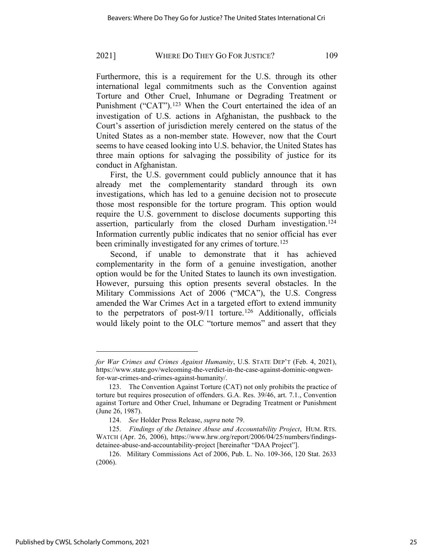Furthermore, this is a requirement for the U.S. through its other international legal commitments such as the Convention against Torture and Other Cruel, Inhumane or Degrading Treatment or Punishment ("CAT").<sup>[123](#page-24-0)</sup> When the Court entertained the idea of an investigation of U.S. actions in Afghanistan, the pushback to the Court's assertion of jurisdiction merely centered on the status of the United States as a non-member state. However, now that the Court seems to have ceased looking into U.S. behavior, the United States has three main options for salvaging the possibility of justice for its conduct in Afghanistan.

First, the U.S. government could publicly announce that it has already met the complementarity standard through its own investigations, which has led to a genuine decision not to prosecute those most responsible for the torture program. This option would require the U.S. government to disclose documents supporting this assertion, particularly from the closed Durham investigation.<sup>[124](#page-24-1)</sup> Information currently public indicates that no senior official has ever been criminally investigated for any crimes of torture.<sup>[125](#page-24-2)</sup>

Second, if unable to demonstrate that it has achieved complementarity in the form of a genuine investigation, another option would be for the United States to launch its own investigation. However, pursuing this option presents several obstacles. In the Military Commissions Act of 2006 ("MCA"), the U.S. Congress amended the War Crimes Act in a targeted effort to extend immunity to the perpetrators of post-9/11 torture.<sup>[126](#page-24-3)</sup> Additionally, officials would likely point to the OLC "torture memos" and assert that they

*for War Crimes and Crimes Against Humanity*, U.S. STATE DEP'T (Feb. 4, 2021), https://www.state.gov/welcoming-the-verdict-in-the-case-against-dominic-ongwenfor-war-crimes-and-crimes-against-humanity/.

<span id="page-24-0"></span><sup>123.</sup> The Convention Against Torture (CAT) not only prohibits the practice of torture but requires prosecution of offenders. G.A. Res. 39/46, art. 7.1., Convention against Torture and Other Cruel, Inhumane or Degrading Treatment or Punishment (June 26, 1987).

<sup>124.</sup> *See* Holder Press Release, *supra* not[e 79.](#page-13-6)

<span id="page-24-2"></span><span id="page-24-1"></span><sup>125.</sup> *Findings of the Detainee Abuse and Accountability Project*, HUM. RTS. WATCH (Apr. 26, 2006), [https://www.hrw.org/report/2006/04/25/numbers/findings](https://www.hrw.org/report/2006/04/25/numbers/findings-detainee-abuse-and-accountability-project)[detainee-abuse-and-accountability-project](https://www.hrw.org/report/2006/04/25/numbers/findings-detainee-abuse-and-accountability-project) [hereinafter "DAA Project"].

<span id="page-24-3"></span><sup>126.</sup> Military Commissions Act of 2006, Pub. L. No. 109-366, 120 Stat. 2633 (2006).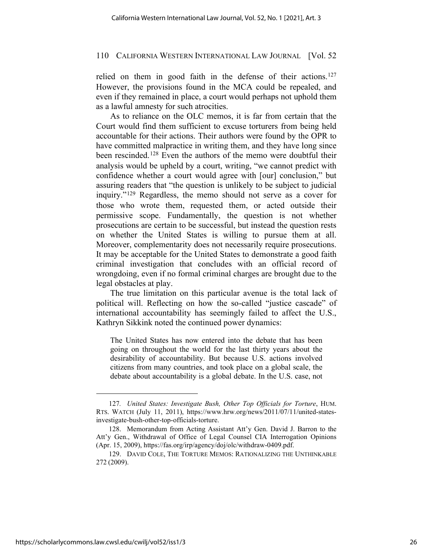relied on them in good faith in the defense of their actions.<sup>[127](#page-25-0)</sup> However, the provisions found in the MCA could be repealed, and even if they remained in place, a court would perhaps not uphold them as a lawful amnesty for such atrocities.

As to reliance on the OLC memos, it is far from certain that the Court would find them sufficient to excuse torturers from being held accountable for their actions. Their authors were found by the OPR to have committed malpractice in writing them, and they have long since been rescinded.<sup>[128](#page-25-1)</sup> Even the authors of the memo were doubtful their analysis would be upheld by a court, writing, "we cannot predict with confidence whether a court would agree with [our] conclusion," but assuring readers that "the question is unlikely to be subject to judicial inquiry."[129](#page-25-2) Regardless, the memo should not serve as a cover for those who wrote them, requested them, or acted outside their permissive scope. Fundamentally, the question is not whether prosecutions are certain to be successful, but instead the question rests on whether the United States is willing to pursue them at all. Moreover, complementarity does not necessarily require prosecutions. It may be acceptable for the United States to demonstrate a good faith criminal investigation that concludes with an official record of wrongdoing, even if no formal criminal charges are brought due to the legal obstacles at play.

The true limitation on this particular avenue is the total lack of political will. Reflecting on how the so-called "justice cascade" of international accountability has seemingly failed to affect the U.S., Kathryn Sikkink noted the continued power dynamics:

The United States has now entered into the debate that has been going on throughout the world for the last thirty years about the desirability of accountability. But because U.S. actions involved citizens from many countries, and took place on a global scale, the debate about accountability is a global debate. In the U.S. case, not

<span id="page-25-0"></span><sup>127</sup>*. United States: Investigate Bush, Other Top Officials for Torture*, HUM. RTS. WATCH (July 11, 2011), https://www.hrw.org/news/2011/07/11/united-statesinvestigate-bush-other-top-officials-torture.

<span id="page-25-1"></span><sup>128.</sup> Memorandum from Acting Assistant Att'y Gen. David J. Barron to the Att'y Gen., Withdrawal of Office of Legal Counsel CIA Interrogation Opinions (Apr. 15, 2009), [https://fas.org/irp/agency/doj/olc/withdraw-0409.pdf.](https://fas.org/irp/agency/doj/olc/withdraw-0409.pdf)

<span id="page-25-2"></span><sup>129.</sup> DAVID COLE, THE TORTURE MEMOS: RATIONALIZING THE UNTHINKABLE 272 (2009).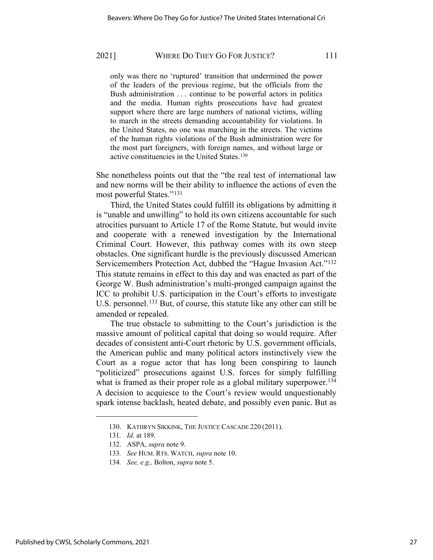only was there no 'ruptured' transition that undermined the power of the leaders of the previous regime, but the officials from the Bush administration . . . continue to be powerful actors in politics and the media. Human rights prosecutions have had greatest support where there are large numbers of national victims, willing to march in the streets demanding accountability for violations. In the United States, no one was marching in the streets. The victims of the human rights violations of the Bush administration were for the most part foreigners, with foreign names, and without large or active constituencies in the United States.[130](#page-26-0)

She nonetheless points out that the "the real test of international law and new norms will be their ability to influence the actions of even the most powerful States."[131](#page-26-1)

Third, the United States could fulfill its obligations by admitting it is "unable and unwilling" to hold its own citizens accountable for such atrocities pursuant to Article 17 of the Rome Statute, but would invite and cooperate with a renewed investigation by the International Criminal Court. However, this pathway comes with its own steep obstacles. One significant hurdle is the previously discussed American Servicemembers Protection Act, dubbed the "Hague Invasion Act."[132](#page-26-2) This statute remains in effect to this day and was enacted as part of the George W. Bush administration's multi-pronged campaign against the ICC to prohibit U.S. participation in the Court's efforts to investigate U.S. personnel.<sup>[133](#page-26-3)</sup> But, of course, this statute like any other can still be amended or repealed.

The true obstacle to submitting to the Court's jurisdiction is the massive amount of political capital that doing so would require. After decades of consistent anti-Court rhetoric by U.S. government officials, the American public and many political actors instinctively view the Court as a rogue actor that has long been conspiring to launch "politicized" prosecutions against U.S. forces for simply fulfilling what is framed as their proper role as a global military superpower.<sup>[134](#page-26-4)</sup> A decision to acquiesce to the Court's review would unquestionably spark intense backlash, heated debate, and possibly even panic. But as

<span id="page-26-0"></span><sup>130.</sup> KATHRYN SIKKINK, THE JUSTICE CASCADE 220 (2011).

<span id="page-26-1"></span><sup>131</sup>*. Id.* at 189.

<span id="page-26-2"></span><sup>132.</sup> ASPA, *supra* note [9.](#page-3-4)

<span id="page-26-3"></span><sup>133</sup>*. See* HUM. RTS. WATCH, *supra* note [10.](#page-3-5)

<span id="page-26-4"></span><sup>134</sup>*. See, e.g.,* Bolton, *supra* note [5.](#page-2-4)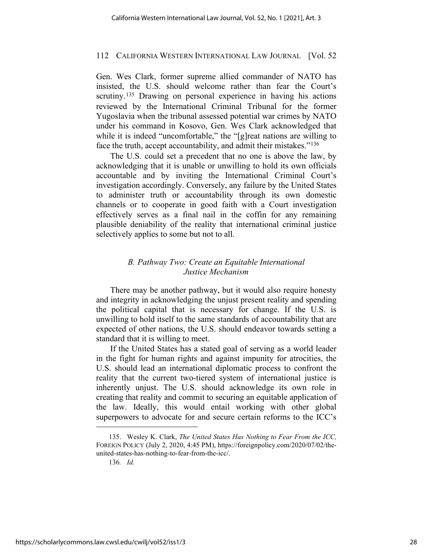Gen. Wes Clark, former supreme allied commander of NATO has insisted, the U.S. should welcome rather than fear the Court's scrutiny.<sup>[135](#page-27-0)</sup> Drawing on personal experience in having his actions reviewed by the International Criminal Tribunal for the former Yugoslavia when the tribunal assessed potential war crimes by NATO under his command in Kosovo, Gen. Wes Clark acknowledged that while it is indeed "uncomfortable," the "[g]reat nations are willing to face the truth, accept accountability, and admit their mistakes."[136](#page-27-1) 

The U.S. could set a precedent that no one is above the law, by acknowledging that it is unable or unwilling to hold its own officials accountable and by inviting the International Criminal Court's investigation accordingly. Conversely, any failure by the United States to administer truth or accountability through its own domestic channels or to cooperate in good faith with a Court investigation effectively serves as a final nail in the coffin for any remaining plausible deniability of the reality that international criminal justice selectively applies to some but not to all.

# *B. Pathway Two: Create an Equitable International Justice Mechanism*

There may be another pathway, but it would also require honesty and integrity in acknowledging the unjust present reality and spending the political capital that is necessary for change. If the U.S. is unwilling to hold itself to the same standards of accountability that are expected of other nations, the U.S. should endeavor towards setting a standard that it is willing to meet.

If the United States has a stated goal of serving as a world leader in the fight for human rights and against impunity for atrocities, the U.S. should lead an international diplomatic process to confront the reality that the current two-tiered system of international justice is inherently unjust. The U.S. should acknowledge its own role in creating that reality and commit to securing an equitable application of the law. Ideally, this would entail working with other global superpowers to advocate for and secure certain reforms to the ICC's

<span id="page-27-1"></span><span id="page-27-0"></span><sup>135.</sup> Wesley K. Clark, *The United States Has Nothing to Fear From the ICC,* FOREIGN POLICY (July 2, 2020, 4:45 PM), https://foreignpolicy.com/2020/07/02/theunited-states-has-nothing-to-fear-from-the-icc/.

<sup>136</sup>*. Id.*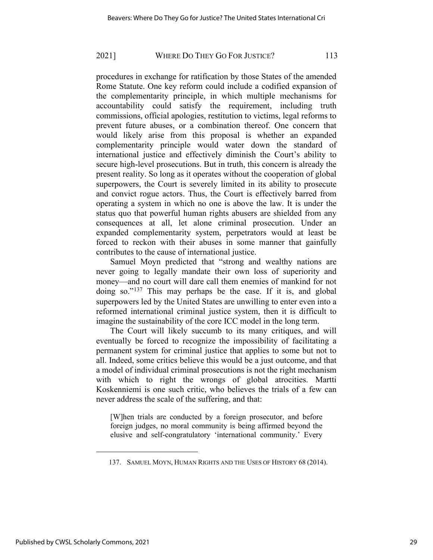procedures in exchange for ratification by those States of the amended Rome Statute. One key reform could include a codified expansion of the complementarity principle, in which multiple mechanisms for accountability could satisfy the requirement, including truth commissions, official apologies, restitution to victims, legal reforms to prevent future abuses, or a combination thereof. One concern that would likely arise from this proposal is whether an expanded complementarity principle would water down the standard of international justice and effectively diminish the Court's ability to secure high-level prosecutions. But in truth, this concern is already the present reality. So long as it operates without the cooperation of global superpowers, the Court is severely limited in its ability to prosecute and convict rogue actors. Thus, the Court is effectively barred from operating a system in which no one is above the law. It is under the status quo that powerful human rights abusers are shielded from any consequences at all, let alone criminal prosecution. Under an expanded complementarity system, perpetrators would at least be forced to reckon with their abuses in some manner that gainfully contributes to the cause of international justice.

Samuel Moyn predicted that "strong and wealthy nations are never going to legally mandate their own loss of superiority and money—and no court will dare call them enemies of mankind for not doing so."[137](#page-28-0) This may perhaps be the case. If it is, and global superpowers led by the United States are unwilling to enter even into a reformed international criminal justice system, then it is difficult to imagine the sustainability of the core ICC model in the long term.

The Court will likely succumb to its many critiques, and will eventually be forced to recognize the impossibility of facilitating a permanent system for criminal justice that applies to some but not to all. Indeed, some critics believe this would be a just outcome, and that a model of individual criminal prosecutions is not the right mechanism with which to right the wrongs of global atrocities. Martti Koskenniemi is one such critic, who believes the trials of a few can never address the scale of the suffering, and that:

[W]hen trials are conducted by a foreign prosecutor, and before foreign judges, no moral community is being affirmed beyond the elusive and self-congratulatory 'international community.' Every

<span id="page-28-0"></span><sup>137.</sup> SAMUEL MOYN, HUMAN RIGHTS AND THE USES OF HISTORY 68 (2014).